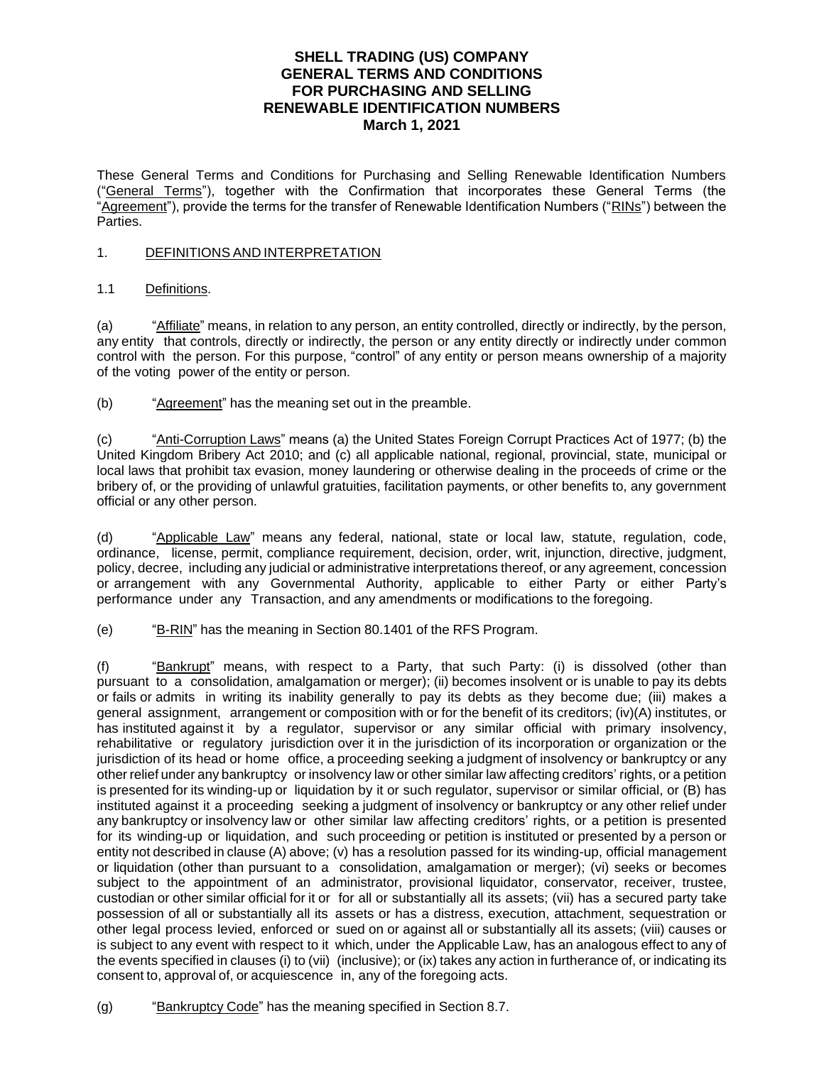# **SHELL TRADING (US) COMPANY GENERAL TERMS AND CONDITIONS FOR PURCHASING AND SELLING RENEWABLE IDENTIFICATION NUMBERS March 1, 2021**

These General Terms and Conditions for Purchasing and Selling Renewable Identification Numbers ("General Terms"), together with the Confirmation that incorporates these General Terms (the "Agreement"), provide the terms for the transfer of Renewable Identification Numbers ("RINs") between the Parties.

## 1. DEFINITIONS AND INTERPRETATION

## 1.1 Definitions.

(a) "Affiliate" means, in relation to any person, an entity controlled, directly or indirectly, by the person, any entity that controls, directly or indirectly, the person or any entity directly or indirectly under common control with the person. For this purpose, "control" of any entity or person means ownership of a majority of the voting power of the entity or person.

(b) "Agreement" has the meaning set out in the preamble.

(c) "Anti-Corruption Laws" means (a) the United States Foreign Corrupt Practices Act of 1977; (b) the United Kingdom Bribery Act 2010; and (c) all applicable national, regional, provincial, state, municipal or local laws that prohibit tax evasion, money laundering or otherwise dealing in the proceeds of crime or the bribery of, or the providing of unlawful gratuities, facilitation payments, or other benefits to, any government official or any other person.

(d) "Applicable Law" means any federal, national, state or local law, statute, regulation, code, ordinance, license, permit, compliance requirement, decision, order, writ, injunction, directive, judgment, policy, decree, including any judicial or administrative interpretations thereof, or any agreement, concession or arrangement with any Governmental Authority, applicable to either Party or either Party's performance under any Transaction, and any amendments or modifications to the foregoing.

(e) "B-RIN" has the meaning in Section 80.1401 of the RFS Program.

(f) "Bankrupt" means, with respect to a Party, that such Party: (i) is dissolved (other than pursuant to a consolidation, amalgamation or merger); (ii) becomes insolvent or is unable to pay its debts or fails or admits in writing its inability generally to pay its debts as they become due; (iii) makes a general assignment, arrangement or composition with or for the benefit of its creditors; (iv)(A) institutes, or has instituted against it by a regulator, supervisor or any similar official with primary insolvency, rehabilitative or regulatory jurisdiction over it in the jurisdiction of its incorporation or organization or the jurisdiction of its head or home office, a proceeding seeking a judgment of insolvency or bankruptcy or any other relief under any bankruptcy or insolvency law or other similar law affecting creditors' rights, or a petition is presented for its winding-up or liquidation by it or such regulator, supervisor or similar official, or (B) has instituted against it a proceeding seeking a judgment of insolvency or bankruptcy or any other relief under any bankruptcy or insolvency law or other similar law affecting creditors' rights, or a petition is presented for its winding-up or liquidation, and such proceeding or petition is instituted or presented by a person or entity not described in clause (A) above; (v) has a resolution passed for its winding-up, official management or liquidation (other than pursuant to a consolidation, amalgamation or merger); (vi) seeks or becomes subject to the appointment of an administrator, provisional liquidator, conservator, receiver, trustee, custodian or other similar official for it or for all or substantially all its assets; (vii) has a secured party take possession of all or substantially all its assets or has a distress, execution, attachment, sequestration or other legal process levied, enforced or sued on or against all or substantially all its assets; (viii) causes or is subject to any event with respect to it which, under the Applicable Law, has an analogous effect to any of the events specified in clauses (i) to (vii) (inclusive); or (ix) takes any action in furtherance of, or indicating its consent to, approval of, or acquiescence in, any of the foregoing acts.

(g) "Bankruptcy Code" has the meaning specified in Section 8.7.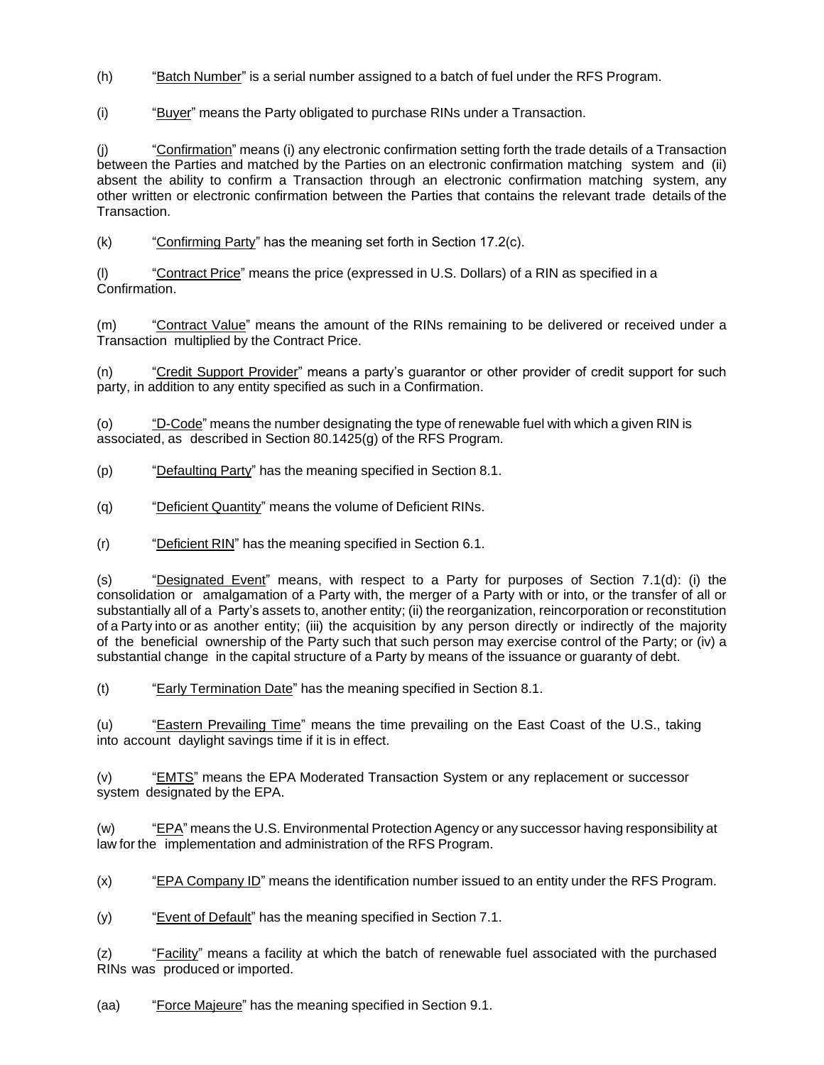(h) "Batch Number" is a serial number assigned to a batch of fuel under the RFS Program.

(i) "Buyer" means the Party obligated to purchase RINs under a Transaction.

(j) "Confirmation" means (i) any electronic confirmation setting forth the trade details of a Transaction between the Parties and matched by the Parties on an electronic confirmation matching system and (ii) absent the ability to confirm a Transaction through an electronic confirmation matching system, any other written or electronic confirmation between the Parties that contains the relevant trade details of the **Transaction** 

(k) "Confirming Party" has the meaning set forth in Section 17.2(c).

(I) "Contract Price" means the price (expressed in U.S. Dollars) of a RIN as specified in a Confirmation.

(m) "Contract Value" means the amount of the RINs remaining to be delivered or received under a Transaction multiplied by the Contract Price.

(n) "Credit Support Provider" means a party's guarantor or other provider of credit support for such party, in addition to any entity specified as such in a Confirmation.

(o)  $\frac{p\cdot\text{Code}^n}{p\cdot\text{Code}^n}$  means the number designating the type of renewable fuel with which a given RIN is associated, as described in Section 80.1425(g) of the RFS Program.

(p) "Defaulting Party" has the meaning specified in Section 8.1.

(q) "Deficient Quantity" means the volume of Deficient RINs.

(r) "Deficient RIN" has the meaning specified in Section 6.1.

(s) "Designated Event" means, with respect to a Party for purposes of Section 7.1(d): (i) the consolidation or amalgamation of a Party with, the merger of a Party with or into, or the transfer of all or substantially all of a Party's assets to, another entity; (ii) the reorganization, reincorporation or reconstitution of a Party into or as another entity; (iii) the acquisition by any person directly or indirectly of the majority of the beneficial ownership of the Party such that such person may exercise control of the Party; or (iv) a substantial change in the capital structure of a Party by means of the issuance or guaranty of debt.

(t) "Early Termination Date" has the meaning specified in Section 8.1.

(u) "Eastern Prevailing Time" means the time prevailing on the East Coast of the U.S., taking into account daylight savings time if it is in effect.

(v) "EMTS" means the EPA Moderated Transaction System or any replacement or successor system designated by the EPA.

(w) "EPA" means the U.S. Environmental Protection Agency or any successor having responsibility at law for the implementation and administration of the RFS Program.

(x) "EPA Company ID" means the identification number issued to an entity under the RFS Program.

(y) "Event of Default" has the meaning specified in Section 7.1.

(z) "Facility" means a facility at which the batch of renewable fuel associated with the purchased RINs was produced or imported.

(aa) "Force Majeure" has the meaning specified in Section 9.1.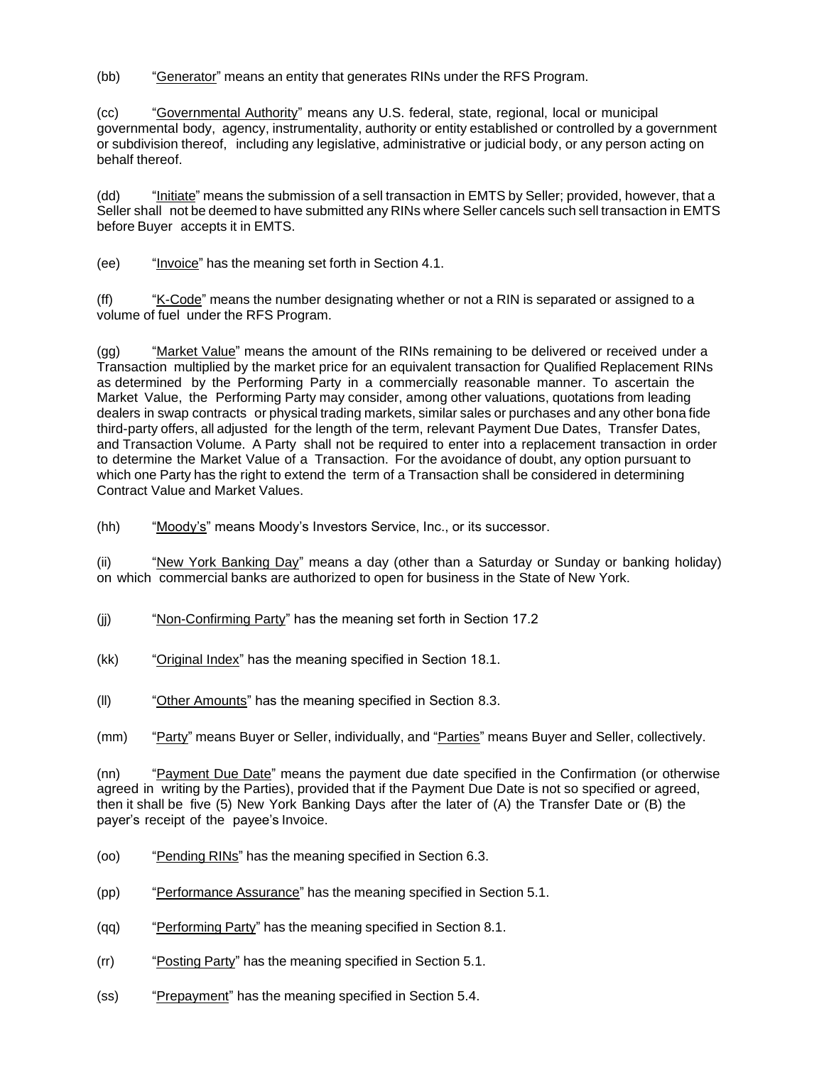(bb) "Generator" means an entity that generates RINs under the RFS Program.

(cc) "Governmental Authority" means any U.S. federal, state, regional, local or municipal governmental body, agency, instrumentality, authority or entity established or controlled by a government or subdivision thereof, including any legislative, administrative or judicial body, or any person acting on behalf thereof.

(dd) "Initiate" means the submission of a sell transaction in EMTS by Seller; provided, however, that a Seller shall not be deemed to have submitted any RINs where Seller cancels such sell transaction in EMTS before Buyer accepts it in EMTS.

(ee) "Invoice" has the meaning set forth in Section 4.1.

(ff) "K-Code" means the number designating whether or not a RIN is separated or assigned to a volume of fuel under the RFS Program.

(gg) "Market Value" means the amount of the RINs remaining to be delivered or received under a Transaction multiplied by the market price for an equivalent transaction for Qualified Replacement RINs as determined by the Performing Party in a commercially reasonable manner. To ascertain the Market Value, the Performing Party may consider, among other valuations, quotations from leading dealers in swap contracts or physical trading markets, similar sales or purchases and any other bona fide third-party offers, all adjusted for the length of the term, relevant Payment Due Dates, Transfer Dates, and Transaction Volume. A Party shall not be required to enter into a replacement transaction in order to determine the Market Value of a Transaction. For the avoidance of doubt, any option pursuant to which one Party has the right to extend the term of a Transaction shall be considered in determining Contract Value and Market Values.

(hh) "Moody's" means Moody's Investors Service, Inc., or its successor.

(ii) "New York Banking Day" means a day (other than a Saturday or Sunday or banking holiday) on which commercial banks are authorized to open for business in the State of New York.

- (ij) "Non-Confirming Party" has the meaning set forth in Section 17.2
- (kk) "Original Index" has the meaning specified in Section 18.1.
- (ll) "Other Amounts" has the meaning specified in Section 8.3.

(mm) "Party" means Buyer or Seller, individually, and "Parties" means Buyer and Seller, collectively.

(nn) "Payment Due Date" means the payment due date specified in the Confirmation (or otherwise agreed in writing by the Parties), provided that if the Payment Due Date is not so specified or agreed, then it shall be five (5) New York Banking Days after the later of (A) the Transfer Date or (B) the payer's receipt of the payee's Invoice.

- (oo) "Pending RINs" has the meaning specified in Section 6.3.
- (pp) "Performance Assurance" has the meaning specified in Section 5.1.
- (qq) "Performing Party" has the meaning specified in Section 8.1.
- (rr) "Posting Party" has the meaning specified in Section 5.1.
- (ss) "Prepayment" has the meaning specified in Section 5.4.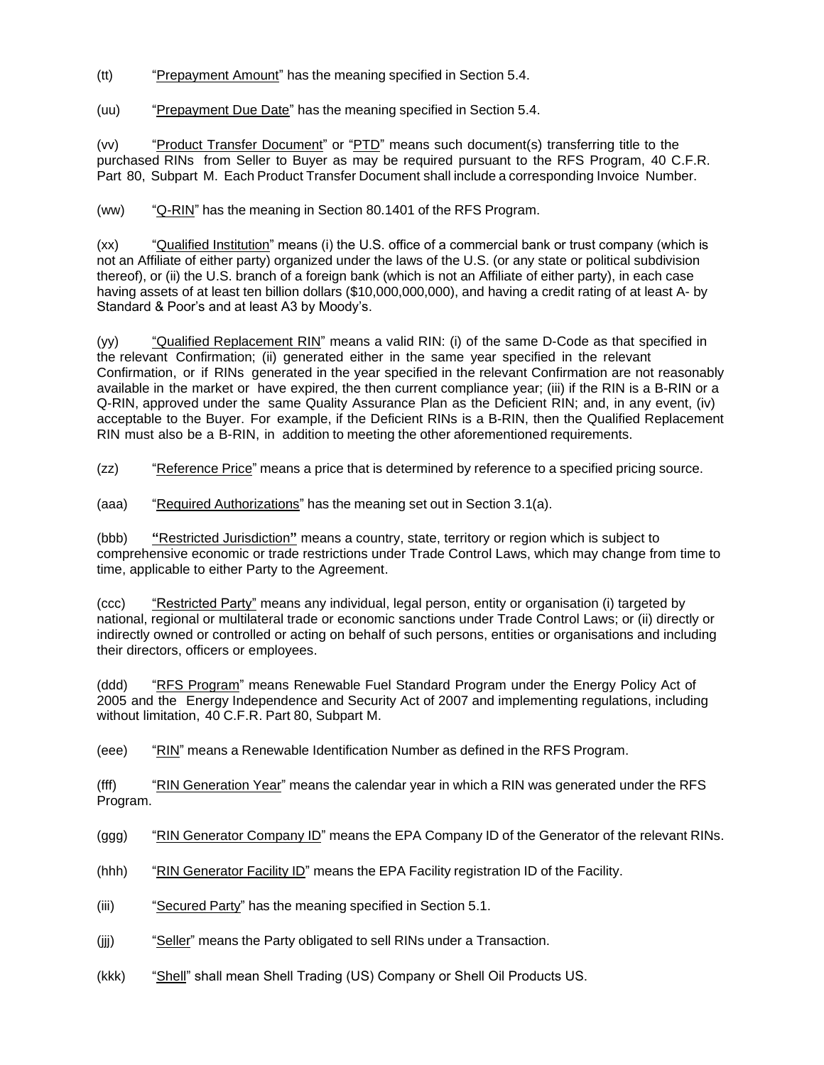(tt) "Prepayment Amount" has the meaning specified in Section 5.4.

(uu) "Prepayment Due Date" has the meaning specified in Section 5.4.

(vv) "Product Transfer Document" or "PTD" means such document(s) transferring title to the purchased RINs from Seller to Buyer as may be required pursuant to the RFS Program, 40 C.F.R. Part 80, Subpart M. Each Product Transfer Document shall include a corresponding Invoice Number.

(ww) "Q-RIN" has the meaning in Section 80.1401 of the RFS Program.

(xx) "Qualified Institution" means (i) the U.S. office of a commercial bank or trust company (which is not an Affiliate of either party) organized under the laws of the U.S. (or any state or political subdivision thereof), or (ii) the U.S. branch of a foreign bank (which is not an Affiliate of either party), in each case having assets of at least ten billion dollars (\$10,000,000,000), and having a credit rating of at least A- by Standard & Poor's and at least A3 by Moody's.

(yy) "Qualified Replacement RIN" means a valid RIN: (i) of the same D-Code as that specified in the relevant Confirmation; (ii) generated either in the same year specified in the relevant Confirmation, or if RINs generated in the year specified in the relevant Confirmation are not reasonably available in the market or have expired, the then current compliance year; (iii) if the RIN is a B-RIN or a Q-RIN, approved under the same Quality Assurance Plan as the Deficient RIN; and, in any event, (iv) acceptable to the Buyer. For example, if the Deficient RINs is a B-RIN, then the Qualified Replacement RIN must also be a B-RIN, in addition to meeting the other aforementioned requirements.

(zz) "Reference Price" means a price that is determined by reference to a specified pricing source.

(aaa) "Required Authorizations" has the meaning set out in Section 3.1(a).

(bbb) **"**Restricted Jurisdiction**"** means a country, state, territory or region which is subject to comprehensive economic or trade restrictions under Trade Control Laws, which may change from time to time, applicable to either Party to the Agreement.

(ccc) "Restricted Party" means any individual, legal person, entity or organisation (i) targeted by national, regional or multilateral trade or economic sanctions under Trade Control Laws; or (ii) directly or indirectly owned or controlled or acting on behalf of such persons, entities or organisations and including their directors, officers or employees.

(ddd) "RFS Program" means Renewable Fuel Standard Program under the Energy Policy Act of 2005 and the Energy Independence and Security Act of 2007 and implementing regulations, including without limitation, 40 C.F.R. Part 80, Subpart M.

(eee) "RIN" means a Renewable Identification Number as defined in the RFS Program.

(fff) "RIN Generation Year" means the calendar year in which a RIN was generated under the RFS Program.

(ggg) "RIN Generator Company ID" means the EPA Company ID of the Generator of the relevant RINs.

(hhh) "RIN Generator Facility ID" means the EPA Facility registration ID of the Facility.

(iii) "Secured Party" has the meaning specified in Section 5.1.

(ijj) "Seller" means the Party obligated to sell RINs under a Transaction.

(kkk) "Shell" shall mean Shell Trading (US) Company or Shell Oil Products US.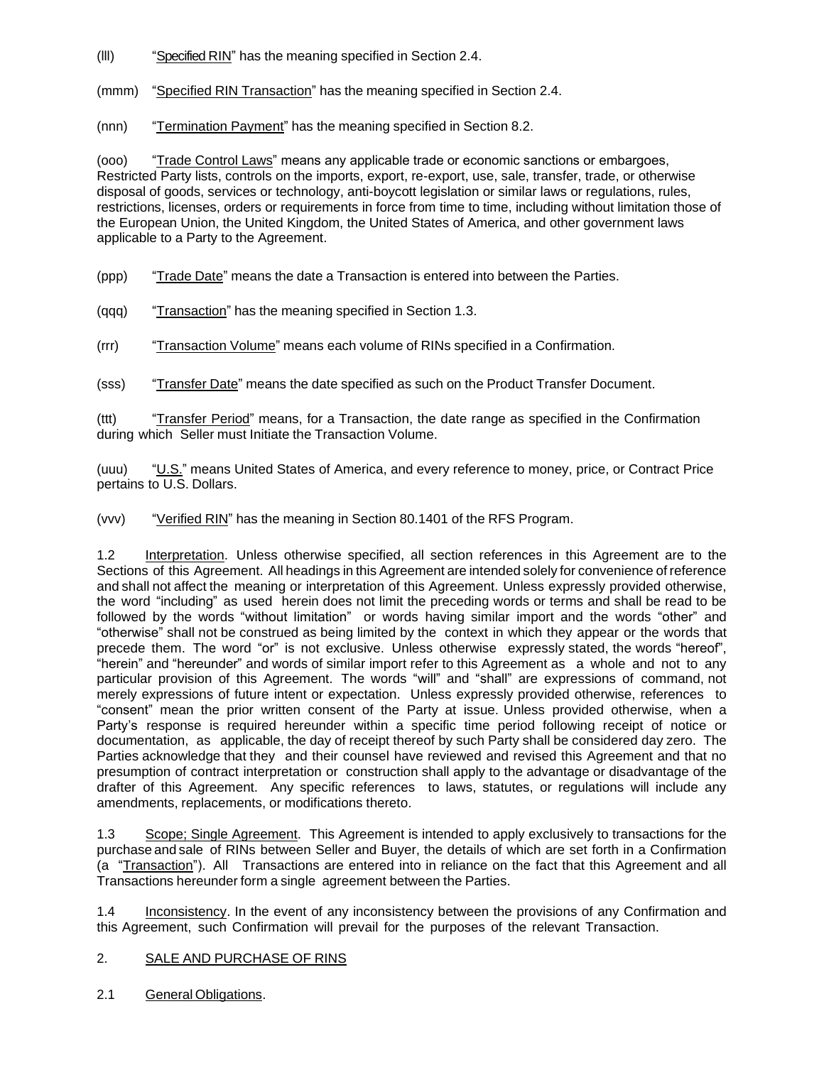(lll) "Specified RIN" has the meaning specified in Section 2.4.

(mmm) "Specified RIN Transaction" has the meaning specified in Section 2.4.

(nnn) "Termination Payment" has the meaning specified in Section 8.2.

(ooo) "Trade Control Laws" means any applicable trade or economic sanctions or embargoes, Restricted Party lists, controls on the imports, export, re-export, use, sale, transfer, trade, or otherwise disposal of goods, services or technology, anti-boycott legislation or similar laws or regulations, rules, restrictions, licenses, orders or requirements in force from time to time, including without limitation those of the European Union, the United Kingdom, the United States of America, and other government laws applicable to a Party to the Agreement.

(ppp) "Trade Date" means the date a Transaction is entered into between the Parties.

(qqq) "Transaction" has the meaning specified in Section 1.3.

(rrr) "Transaction Volume" means each volume of RINs specified in a Confirmation.

(sss) "Transfer Date" means the date specified as such on the Product Transfer Document.

(ttt) "Transfer Period" means, for a Transaction, the date range as specified in the Confirmation during which Seller must Initiate the Transaction Volume.

(uuu) "U.S." means United States of America, and every reference to money, price, or Contract Price pertains to U.S. Dollars.

(vvv) "Verified RIN" has the meaning in Section 80.1401 of the RFS Program.

1.2 Interpretation. Unless otherwise specified, all section references in this Agreement are to the Sections of this Agreement. All headings in this Agreement are intended solely for convenience of reference and shall not affect the meaning or interpretation of this Agreement. Unless expressly provided otherwise, the word "including" as used herein does not limit the preceding words or terms and shall be read to be followed by the words "without limitation" or words having similar import and the words "other" and "otherwise" shall not be construed as being limited by the context in which they appear or the words that precede them. The word "or" is not exclusive. Unless otherwise expressly stated, the words "hereof", "herein" and "hereunder" and words of similar import refer to this Agreement as a whole and not to any particular provision of this Agreement. The words "will" and "shall" are expressions of command, not merely expressions of future intent or expectation. Unless expressly provided otherwise, references to "consent" mean the prior written consent of the Party at issue. Unless provided otherwise, when a Party's response is required hereunder within a specific time period following receipt of notice or documentation, as applicable, the day of receipt thereof by such Party shall be considered day zero. The Parties acknowledge that they and their counsel have reviewed and revised this Agreement and that no presumption of contract interpretation or construction shall apply to the advantage or disadvantage of the drafter of this Agreement. Any specific references to laws, statutes, or regulations will include any amendments, replacements, or modifications thereto.

1.3 Scope; Single Agreement. This Agreement is intended to apply exclusively to transactions for the purchase and sale of RINs between Seller and Buyer, the details of which are set forth in a Confirmation (a "Transaction"). All Transactions are entered into in reliance on the fact that this Agreement and all Transactions hereunder form a single agreement between the Parties.

1.4 Inconsistency. In the event of any inconsistency between the provisions of any Confirmation and this Agreement, such Confirmation will prevail for the purposes of the relevant Transaction.

## 2. SALE AND PURCHASE OF RINS

2.1 General Obligations.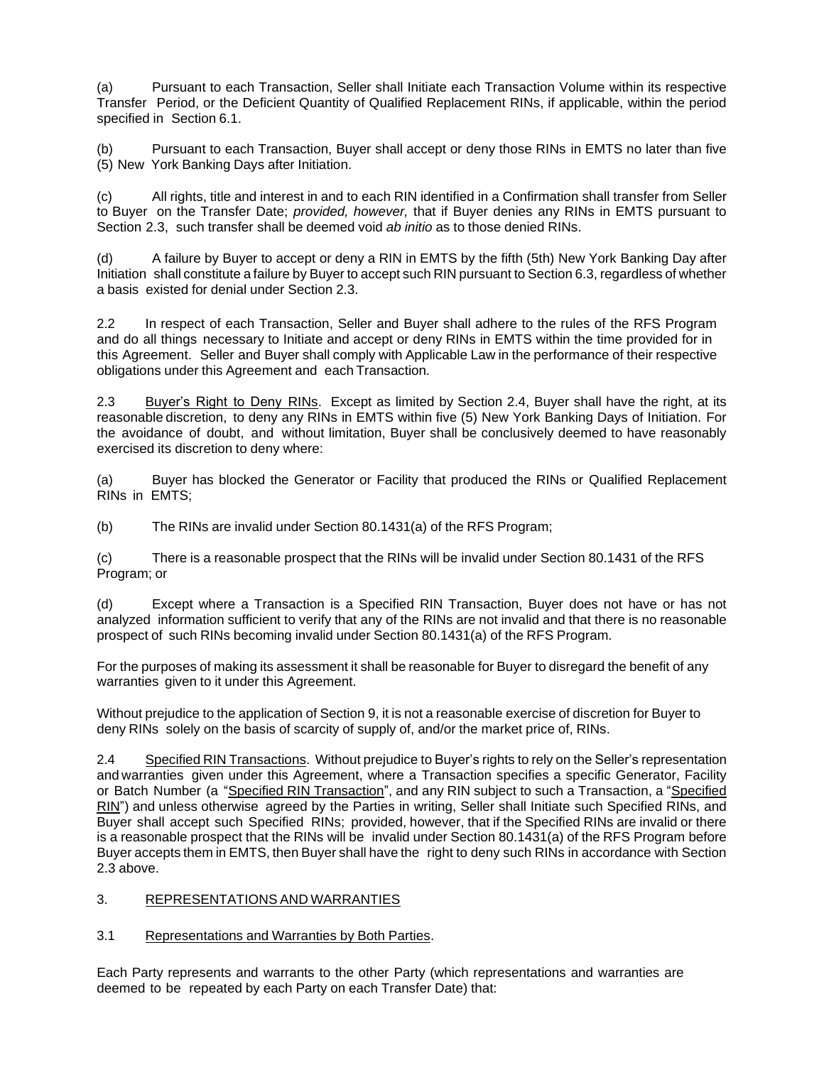(a) Pursuant to each Transaction, Seller shall Initiate each Transaction Volume within its respective Transfer Period, or the Deficient Quantity of Qualified Replacement RINs, if applicable, within the period specified in Section 6.1.

(b) Pursuant to each Transaction, Buyer shall accept or deny those RINs in EMTS no later than five (5) New York Banking Days after Initiation.

(c) All rights, title and interest in and to each RIN identified in a Confirmation shall transfer from Seller to Buyer on the Transfer Date; *provided, however,* that if Buyer denies any RINs in EMTS pursuant to Section 2.3, such transfer shall be deemed void *ab initio* as to those denied RINs.

(d) A failure by Buyer to accept or deny a RIN in EMTS by the fifth (5th) New York Banking Day after Initiation shall constitute a failure by Buyer to accept such RIN pursuant to Section 6.3, regardless of whether a basis existed for denial under Section 2.3.

2.2 In respect of each Transaction, Seller and Buyer shall adhere to the rules of the RFS Program and do all things necessary to Initiate and accept or deny RINs in EMTS within the time provided for in this Agreement. Seller and Buyer shall comply with Applicable Law in the performance of their respective obligations under this Agreement and each Transaction.

2.3 Buyer's Right to Deny RINs. Except as limited by Section 2.4, Buyer shall have the right, at its reasonable discretion, to deny any RINs in EMTS within five (5) New York Banking Days of Initiation. For the avoidance of doubt, and without limitation, Buyer shall be conclusively deemed to have reasonably exercised its discretion to deny where:

(a) Buyer has blocked the Generator or Facility that produced the RINs or Qualified Replacement RINs in EMTS;

(b) The RINs are invalid under Section 80.1431(a) of the RFS Program;

(c) There is a reasonable prospect that the RINs will be invalid under Section 80.1431 of the RFS Program; or

(d) Except where a Transaction is a Specified RIN Transaction, Buyer does not have or has not analyzed information sufficient to verify that any of the RINs are not invalid and that there is no reasonable prospect of such RINs becoming invalid under Section 80.1431(a) of the RFS Program.

For the purposes of making its assessment it shall be reasonable for Buyer to disregard the benefit of any warranties given to it under this Agreement.

Without prejudice to the application of Section 9, it is not a reasonable exercise of discretion for Buyer to deny RINs solely on the basis of scarcity of supply of, and/or the market price of, RINs.

2.4 Specified RIN Transactions. Without prejudice to Buyer's rights to rely on the Seller's representation and warranties given under this Agreement, where a Transaction specifies a specific Generator, Facility or Batch Number (a "Specified RIN Transaction", and any RIN subject to such a Transaction, a "Specified RIN") and unless otherwise agreed by the Parties in writing, Seller shall Initiate such Specified RINs, and Buyer shall accept such Specified RINs; provided, however, that if the Specified RINs are invalid or there is a reasonable prospect that the RINs will be invalid under Section 80.1431(a) of the RFS Program before Buyer accepts them in EMTS, then Buyer shall have the right to deny such RINs in accordance with Section 2.3 above.

## 3. REPRESENTATIONS AND WARRANTIES

## 3.1 Representations and Warranties by Both Parties.

Each Party represents and warrants to the other Party (which representations and warranties are deemed to be repeated by each Party on each Transfer Date) that: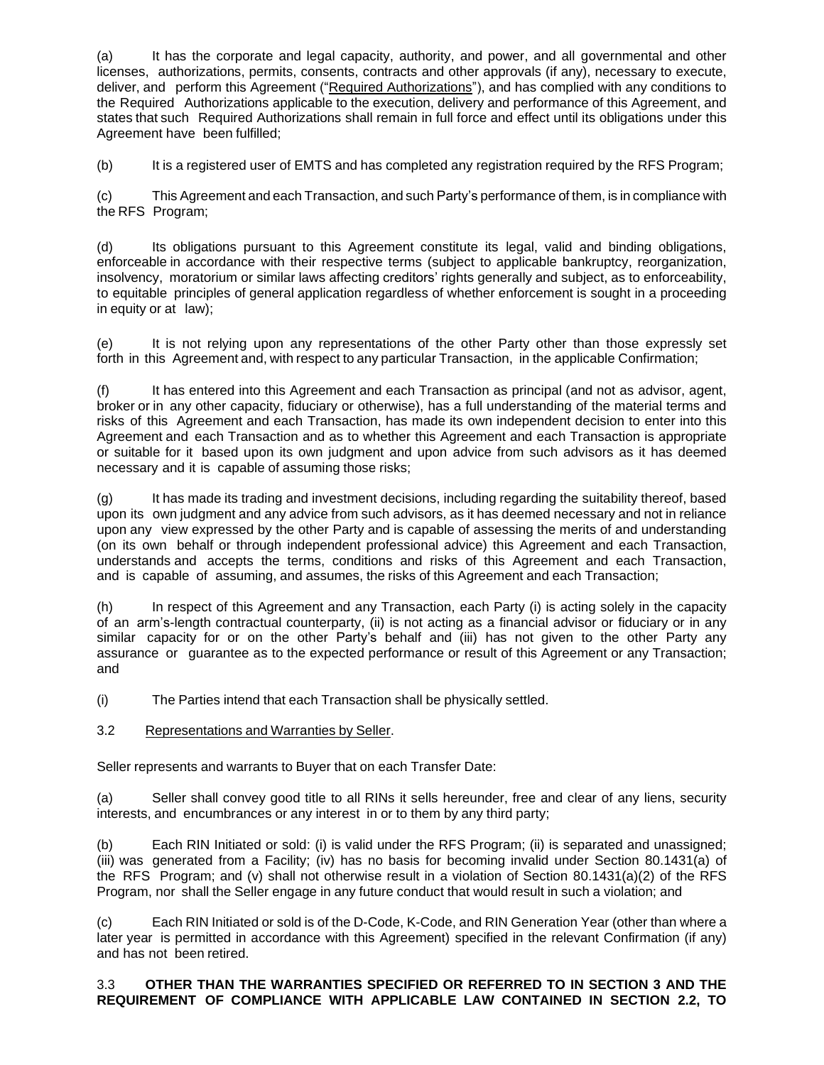(a) It has the corporate and legal capacity, authority, and power, and all governmental and other licenses, authorizations, permits, consents, contracts and other approvals (if any), necessary to execute, deliver, and perform this Agreement ("Required Authorizations"), and has complied with any conditions to the Required Authorizations applicable to the execution, delivery and performance of this Agreement, and states that such Required Authorizations shall remain in full force and effect until its obligations under this Agreement have been fulfilled;

(b) It is a registered user of EMTS and has completed any registration required by the RFS Program;

(c) This Agreement and each Transaction, and such Party's performance of them, is in compliance with the RFS Program;

(d) Its obligations pursuant to this Agreement constitute its legal, valid and binding obligations, enforceable in accordance with their respective terms (subject to applicable bankruptcy, reorganization, insolvency, moratorium or similar laws affecting creditors' rights generally and subject, as to enforceability, to equitable principles of general application regardless of whether enforcement is sought in a proceeding in equity or at law);

(e) It is not relying upon any representations of the other Party other than those expressly set forth in this Agreement and, with respect to any particular Transaction, in the applicable Confirmation;

(f) It has entered into this Agreement and each Transaction as principal (and not as advisor, agent, broker or in any other capacity, fiduciary or otherwise), has a full understanding of the material terms and risks of this Agreement and each Transaction, has made its own independent decision to enter into this Agreement and each Transaction and as to whether this Agreement and each Transaction is appropriate or suitable for it based upon its own judgment and upon advice from such advisors as it has deemed necessary and it is capable of assuming those risks;

(g) It has made its trading and investment decisions, including regarding the suitability thereof, based upon its own judgment and any advice from such advisors, as it has deemed necessary and not in reliance upon any view expressed by the other Party and is capable of assessing the merits of and understanding (on its own behalf or through independent professional advice) this Agreement and each Transaction, understands and accepts the terms, conditions and risks of this Agreement and each Transaction, and is capable of assuming, and assumes, the risks of this Agreement and each Transaction;

(h) In respect of this Agreement and any Transaction, each Party (i) is acting solely in the capacity of an arm's-length contractual counterparty, (ii) is not acting as a financial advisor or fiduciary or in any similar capacity for or on the other Party's behalf and (iii) has not given to the other Party any assurance or guarantee as to the expected performance or result of this Agreement or any Transaction; and

(i) The Parties intend that each Transaction shall be physically settled.

#### 3.2 Representations and Warranties by Seller.

Seller represents and warrants to Buyer that on each Transfer Date:

(a) Seller shall convey good title to all RINs it sells hereunder, free and clear of any liens, security interests, and encumbrances or any interest in or to them by any third party;

(b) Each RIN Initiated or sold: (i) is valid under the RFS Program; (ii) is separated and unassigned; (iii) was generated from a Facility; (iv) has no basis for becoming invalid under Section 80.1431(a) of the RFS Program; and (v) shall not otherwise result in a violation of Section 80.1431(a)(2) of the RFS Program, nor shall the Seller engage in any future conduct that would result in such a violation; and

(c) Each RIN Initiated or sold is of the D-Code, K-Code, and RIN Generation Year (other than where a later year is permitted in accordance with this Agreement) specified in the relevant Confirmation (if any) and has not been retired.

## 3.3 **OTHER THAN THE WARRANTIES SPECIFIED OR REFERRED TO IN SECTION 3 AND THE REQUIREMENT OF COMPLIANCE WITH APPLICABLE LAW CONTAINED IN SECTION 2.2, TO**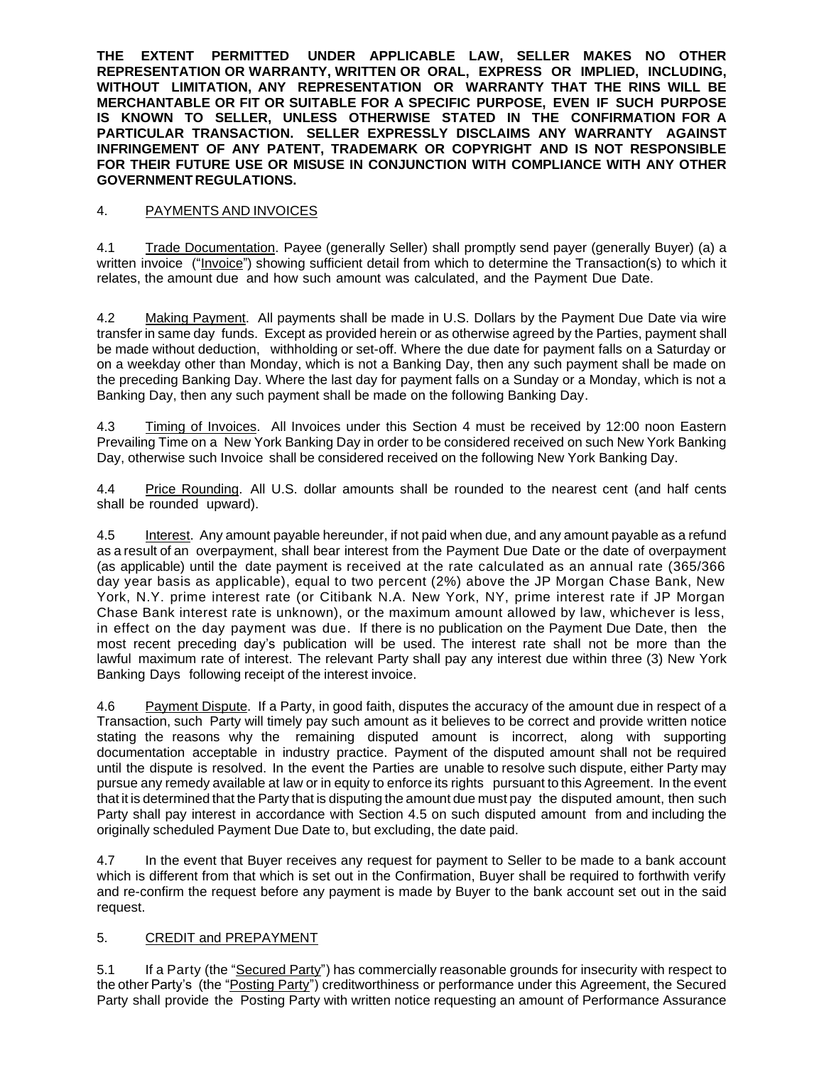**THE EXTENT PERMITTED UNDER APPLICABLE LAW, SELLER MAKES NO OTHER REPRESENTATION OR WARRANTY, WRITTEN OR ORAL, EXPRESS OR IMPLIED, INCLUDING, WITHOUT LIMITATION, ANY REPRESENTATION OR WARRANTY THAT THE RINS WILL BE MERCHANTABLE OR FIT OR SUITABLE FOR A SPECIFIC PURPOSE, EVEN IF SUCH PURPOSE IS KNOWN TO SELLER, UNLESS OTHERWISE STATED IN THE CONFIRMATION FOR A PARTICULAR TRANSACTION. SELLER EXPRESSLY DISCLAIMS ANY WARRANTY AGAINST INFRINGEMENT OF ANY PATENT, TRADEMARK OR COPYRIGHT AND IS NOT RESPONSIBLE FOR THEIR FUTURE USE OR MISUSE IN CONJUNCTION WITH COMPLIANCE WITH ANY OTHER GOVERNMENT REGULATIONS.**

# 4. PAYMENTS AND INVOICES

4.1 Trade Documentation. Payee (generally Seller) shall promptly send payer (generally Buyer) (a) a written invoice ("Invoice") showing sufficient detail from which to determine the Transaction(s) to which it relates, the amount due and how such amount was calculated, and the Payment Due Date.

4.2 Making Payment. All payments shall be made in U.S. Dollars by the Payment Due Date via wire transfer in same day funds. Except as provided herein or as otherwise agreed by the Parties, payment shall be made without deduction, withholding or set-off. Where the due date for payment falls on a Saturday or on a weekday other than Monday, which is not a Banking Day, then any such payment shall be made on the preceding Banking Day. Where the last day for payment falls on a Sunday or a Monday, which is not a Banking Day, then any such payment shall be made on the following Banking Day.

4.3 Timing of Invoices. All Invoices under this Section 4 must be received by 12:00 noon Eastern Prevailing Time on a New York Banking Day in order to be considered received on such New York Banking Day, otherwise such Invoice shall be considered received on the following New York Banking Day.

4.4 Price Rounding. All U.S. dollar amounts shall be rounded to the nearest cent (and half cents shall be rounded upward).

4.5 Interest. Any amount payable hereunder, if not paid when due, and any amount payable as a refund as a result of an overpayment, shall bear interest from the Payment Due Date or the date of overpayment (as applicable) until the date payment is received at the rate calculated as an annual rate (365/366 day year basis as applicable), equal to two percent (2%) above the JP Morgan Chase Bank, New York, N.Y. prime interest rate (or Citibank N.A. New York, NY, prime interest rate if JP Morgan Chase Bank interest rate is unknown), or the maximum amount allowed by law, whichever is less, in effect on the day payment was due. If there is no publication on the Payment Due Date, then the most recent preceding day's publication will be used. The interest rate shall not be more than the lawful maximum rate of interest. The relevant Party shall pay any interest due within three (3) New York Banking Days following receipt of the interest invoice.

4.6 Payment Dispute. If a Party, in good faith, disputes the accuracy of the amount due in respect of a Transaction, such Party will timely pay such amount as it believes to be correct and provide written notice stating the reasons why the remaining disputed amount is incorrect, along with supporting documentation acceptable in industry practice. Payment of the disputed amount shall not be required until the dispute is resolved. In the event the Parties are unable to resolve such dispute, either Party may pursue any remedy available at law or in equity to enforce its rights pursuant to this Agreement. In the event that it is determined that the Party that is disputing the amount due must pay the disputed amount, then such Party shall pay interest in accordance with Section 4.5 on such disputed amount from and including the originally scheduled Payment Due Date to, but excluding, the date paid.

4.7 In the event that Buyer receives any request for payment to Seller to be made to a bank account which is different from that which is set out in the Confirmation, Buyer shall be required to forthwith verify and re-confirm the request before any payment is made by Buyer to the bank account set out in the said request.

## 5. CREDIT and PREPAYMENT

5.1 If a Party (the "Secured Party") has commercially reasonable grounds for insecurity with respect to the other Party's (the "Posting Party") creditworthiness or performance under this Agreement, the Secured Party shall provide the Posting Party with written notice requesting an amount of Performance Assurance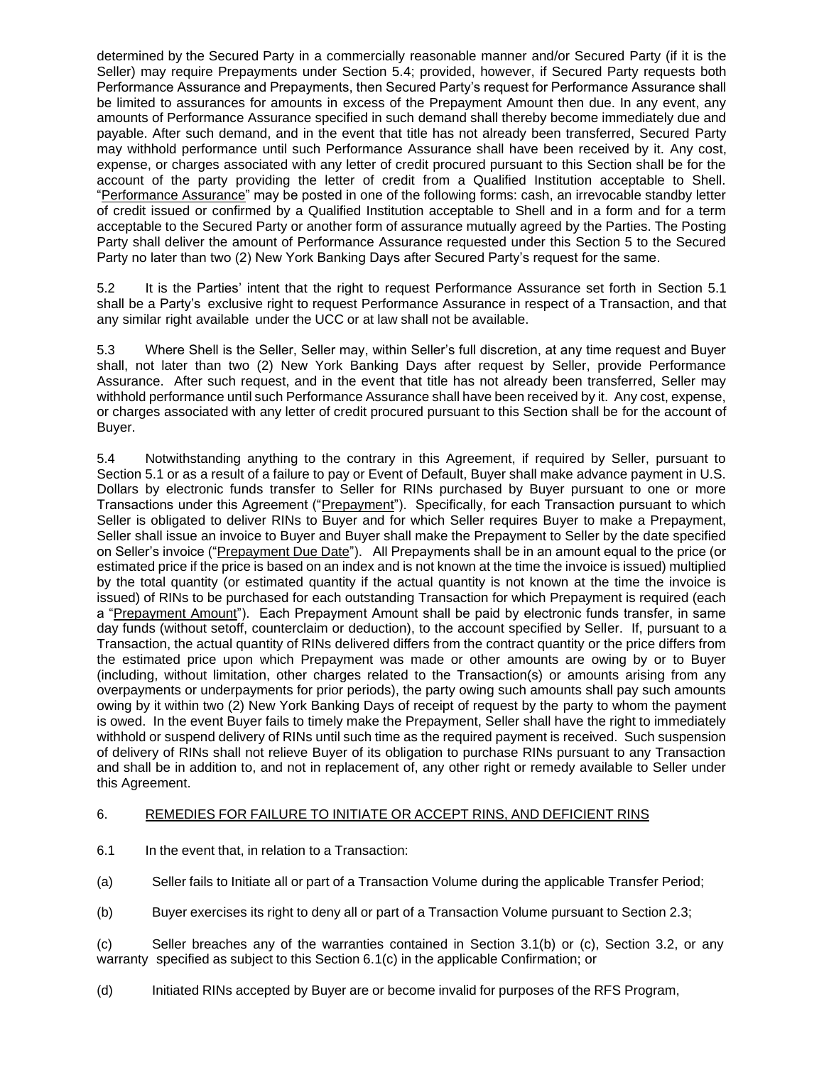determined by the Secured Party in a commercially reasonable manner and/or Secured Party (if it is the Seller) may require Prepayments under Section 5.4; provided, however, if Secured Party requests both Performance Assurance and Prepayments, then Secured Party's request for Performance Assurance shall be limited to assurances for amounts in excess of the Prepayment Amount then due. In any event, any amounts of Performance Assurance specified in such demand shall thereby become immediately due and payable. After such demand, and in the event that title has not already been transferred, Secured Party may withhold performance until such Performance Assurance shall have been received by it. Any cost, expense, or charges associated with any letter of credit procured pursuant to this Section shall be for the account of the party providing the letter of credit from a Qualified Institution acceptable to Shell. "Performance Assurance" may be posted in one of the following forms: cash, an irrevocable standby letter of credit issued or confirmed by a Qualified Institution acceptable to Shell and in a form and for a term acceptable to the Secured Party or another form of assurance mutually agreed by the Parties. The Posting Party shall deliver the amount of Performance Assurance requested under this Section 5 to the Secured Party no later than two (2) New York Banking Days after Secured Party's request for the same.

5.2 It is the Parties' intent that the right to request Performance Assurance set forth in Section 5.1 shall be a Party's exclusive right to request Performance Assurance in respect of a Transaction, and that any similar right available under the UCC or at law shall not be available.

5.3 Where Shell is the Seller, Seller may, within Seller's full discretion, at any time request and Buyer shall, not later than two (2) New York Banking Days after request by Seller, provide Performance Assurance. After such request, and in the event that title has not already been transferred, Seller may withhold performance until such Performance Assurance shall have been received by it. Any cost, expense, or charges associated with any letter of credit procured pursuant to this Section shall be for the account of Buyer.

5.4 Notwithstanding anything to the contrary in this Agreement, if required by Seller, pursuant to Section 5.1 or as a result of a failure to pay or Event of Default, Buyer shall make advance payment in U.S. Dollars by electronic funds transfer to Seller for RINs purchased by Buyer pursuant to one or more Transactions under this Agreement ("Prepayment"). Specifically, for each Transaction pursuant to which Seller is obligated to deliver RINs to Buyer and for which Seller requires Buyer to make a Prepayment, Seller shall issue an invoice to Buyer and Buyer shall make the Prepayment to Seller by the date specified on Seller's invoice ("Prepayment Due Date"). All Prepayments shall be in an amount equal to the price (or estimated price if the price is based on an index and is not known at the time the invoice is issued) multiplied by the total quantity (or estimated quantity if the actual quantity is not known at the time the invoice is issued) of RINs to be purchased for each outstanding Transaction for which Prepayment is required (each a "Prepayment Amount"). Each Prepayment Amount shall be paid by electronic funds transfer, in same day funds (without setoff, counterclaim or deduction), to the account specified by Seller. If, pursuant to a Transaction, the actual quantity of RINs delivered differs from the contract quantity or the price differs from the estimated price upon which Prepayment was made or other amounts are owing by or to Buyer (including, without limitation, other charges related to the Transaction(s) or amounts arising from any overpayments or underpayments for prior periods), the party owing such amounts shall pay such amounts owing by it within two (2) New York Banking Days of receipt of request by the party to whom the payment is owed. In the event Buyer fails to timely make the Prepayment, Seller shall have the right to immediately withhold or suspend delivery of RINs until such time as the required payment is received. Such suspension of delivery of RINs shall not relieve Buyer of its obligation to purchase RINs pursuant to any Transaction and shall be in addition to, and not in replacement of, any other right or remedy available to Seller under this Agreement.

### 6. REMEDIES FOR FAILURE TO INITIATE OR ACCEPT RINS, AND DEFICIENT RINS

- 6.1 In the event that, in relation to a Transaction:
- (a) Seller fails to Initiate all or part of a Transaction Volume during the applicable Transfer Period;
- (b) Buyer exercises its right to deny all or part of a Transaction Volume pursuant to Section 2.3;

(c) Seller breaches any of the warranties contained in Section 3.1(b) or (c), Section 3.2, or any warranty specified as subject to this Section 6.1(c) in the applicable Confirmation; or

(d) Initiated RINs accepted by Buyer are or become invalid for purposes of the RFS Program,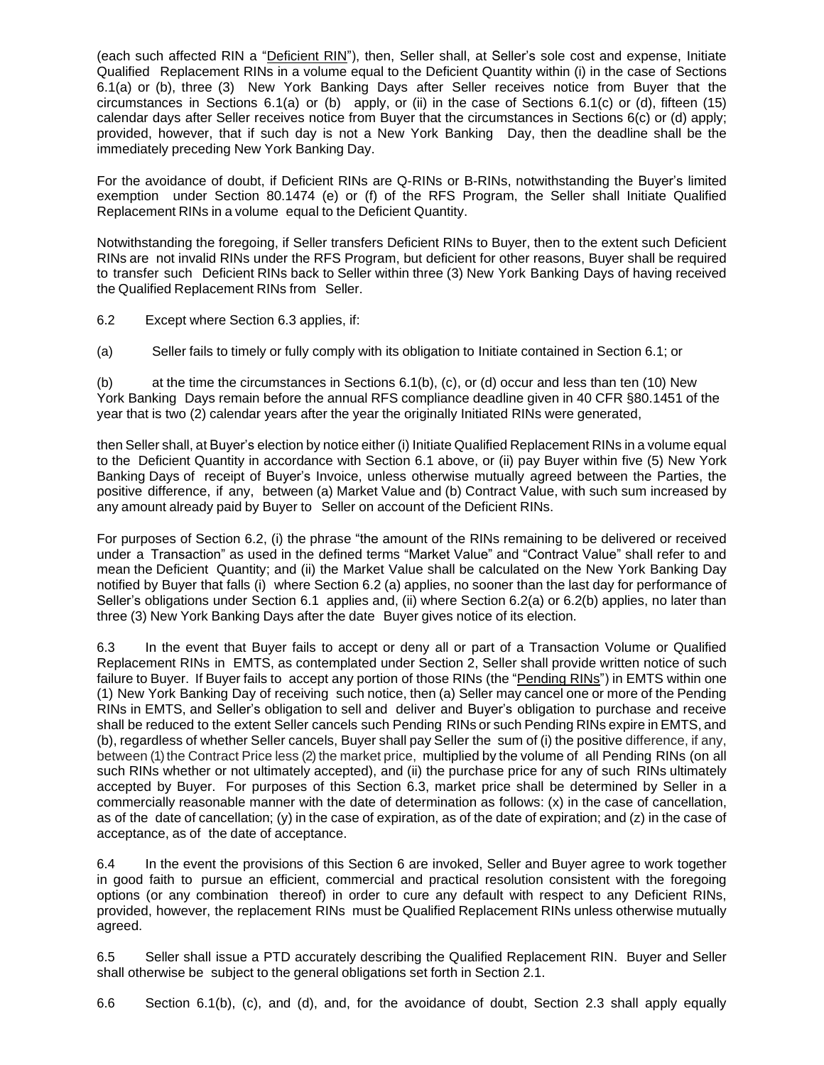(each such affected RIN a "Deficient RIN"), then, Seller shall, at Seller's sole cost and expense, Initiate Qualified Replacement RINs in a volume equal to the Deficient Quantity within (i) in the case of Sections 6.1(a) or (b), three (3) New York Banking Days after Seller receives notice from Buyer that the circumstances in Sections 6.1(a) or (b) apply, or (ii) in the case of Sections 6.1(c) or (d), fifteen (15) calendar days after Seller receives notice from Buyer that the circumstances in Sections 6(c) or (d) apply; provided, however, that if such day is not a New York Banking Day, then the deadline shall be the immediately preceding New York Banking Day.

For the avoidance of doubt, if Deficient RINs are Q-RINs or B-RINs, notwithstanding the Buyer's limited exemption under Section 80.1474 (e) or (f) of the RFS Program, the Seller shall Initiate Qualified Replacement RINs in a volume equal to the Deficient Quantity.

Notwithstanding the foregoing, if Seller transfers Deficient RINs to Buyer, then to the extent such Deficient RINs are not invalid RINs under the RFS Program, but deficient for other reasons, Buyer shall be required to transfer such Deficient RINs back to Seller within three (3) New York Banking Days of having received the Qualified Replacement RINs from Seller.

6.2 Except where Section 6.3 applies, if:

(a) Seller fails to timely or fully comply with its obligation to Initiate contained in Section 6.1; or

(b) at the time the circumstances in Sections 6.1(b), (c), or (d) occur and less than ten (10) New York Banking Days remain before the annual RFS compliance deadline given in 40 CFR §80.1451 of the year that is two (2) calendar years after the year the originally Initiated RINs were generated,

then Seller shall, at Buyer's election by notice either (i) Initiate Qualified Replacement RINs in a volume equal to the Deficient Quantity in accordance with Section 6.1 above, or (ii) pay Buyer within five (5) New York Banking Days of receipt of Buyer's Invoice, unless otherwise mutually agreed between the Parties, the positive difference, if any, between (a) Market Value and (b) Contract Value, with such sum increased by any amount already paid by Buyer to Seller on account of the Deficient RINs.

For purposes of Section 6.2, (i) the phrase "the amount of the RINs remaining to be delivered or received under a Transaction" as used in the defined terms "Market Value" and "Contract Value" shall refer to and mean the Deficient Quantity; and (ii) the Market Value shall be calculated on the New York Banking Day notified by Buyer that falls (i) where Section 6.2 (a) applies, no sooner than the last day for performance of Seller's obligations under Section 6.1 applies and, (ii) where Section 6.2(a) or 6.2(b) applies, no later than three (3) New York Banking Days after the date Buyer gives notice of its election.

6.3 In the event that Buyer fails to accept or deny all or part of a Transaction Volume or Qualified Replacement RINs in EMTS, as contemplated under Section 2, Seller shall provide written notice of such failure to Buyer. If Buyer fails to accept any portion of those RINs (the "Pending RINs") in EMTS within one (1) New York Banking Day of receiving such notice, then (a) Seller may cancel one or more of the Pending RINs in EMTS, and Seller's obligation to sell and deliver and Buyer's obligation to purchase and receive shall be reduced to the extent Seller cancels such Pending RINs or such Pending RINs expire in EMTS, and (b), regardless of whether Seller cancels, Buyer shall pay Seller the sum of (i) the positive difference, if any, between (1) the Contract Price less (2) the market price, multiplied by the volume of all Pending RINs (on all such RINs whether or not ultimately accepted), and (ii) the purchase price for any of such RINs ultimately accepted by Buyer. For purposes of this Section 6.3, market price shall be determined by Seller in a commercially reasonable manner with the date of determination as follows: (x) in the case of cancellation, as of the date of cancellation; (y) in the case of expiration, as of the date of expiration; and (z) in the case of acceptance, as of the date of acceptance.

6.4 In the event the provisions of this Section 6 are invoked, Seller and Buyer agree to work together in good faith to pursue an efficient, commercial and practical resolution consistent with the foregoing options (or any combination thereof) in order to cure any default with respect to any Deficient RINs, provided, however, the replacement RINs must be Qualified Replacement RINs unless otherwise mutually agreed.

6.5 Seller shall issue a PTD accurately describing the Qualified Replacement RIN. Buyer and Seller shall otherwise be subject to the general obligations set forth in Section 2.1.

6.6 Section 6.1(b), (c), and (d), and, for the avoidance of doubt, Section 2.3 shall apply equally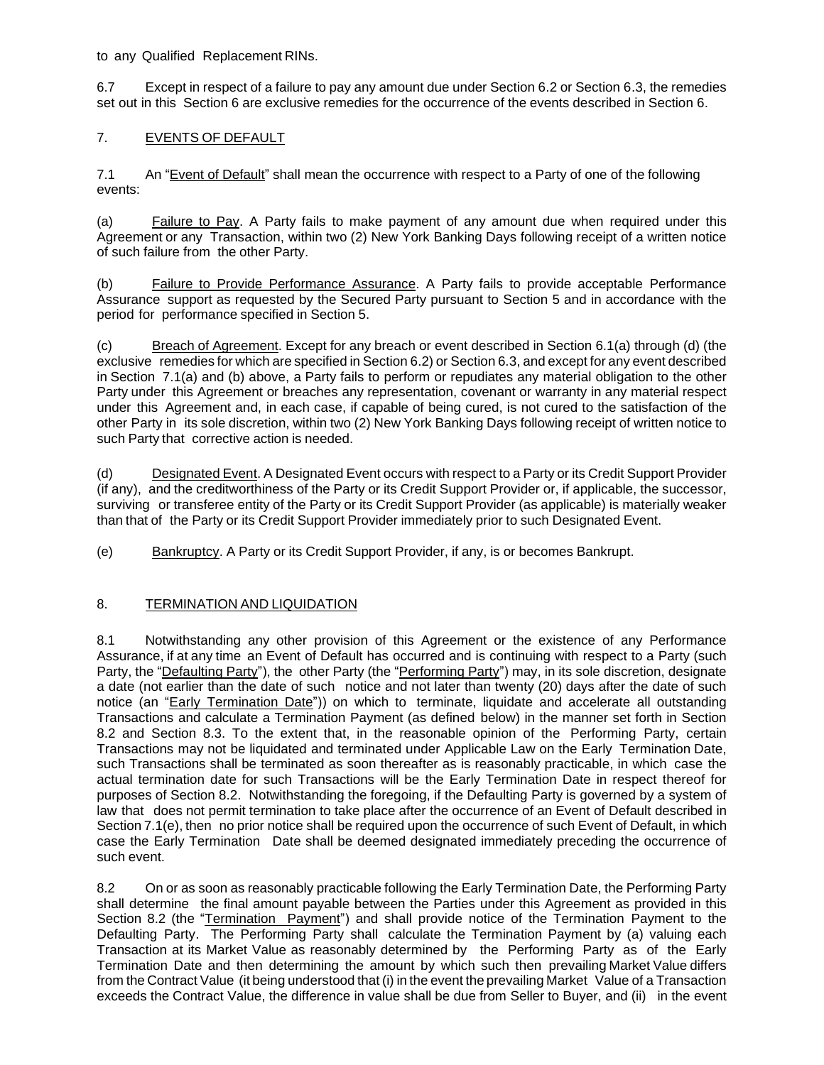to any Qualified Replacement RINs.

6.7 Except in respect of a failure to pay any amount due under Section 6.2 or Section 6.3, the remedies set out in this Section 6 are exclusive remedies for the occurrence of the events described in Section 6.

# 7. EVENTS OF DEFAULT

7.1 An "Event of Default" shall mean the occurrence with respect to a Party of one of the following events:

(a) Failure to Pay. A Party fails to make payment of any amount due when required under this Agreement or any Transaction, within two (2) New York Banking Days following receipt of a written notice of such failure from the other Party.

(b) Failure to Provide Performance Assurance. A Party fails to provide acceptable Performance Assurance support as requested by the Secured Party pursuant to Section 5 and in accordance with the period for performance specified in Section 5.

(c) Breach of Agreement. Except for any breach or event described in Section 6.1(a) through (d) (the exclusive remedies for which are specified in Section 6.2) or Section 6.3, and except for any event described in Section 7.1(a) and (b) above, a Party fails to perform or repudiates any material obligation to the other Party under this Agreement or breaches any representation, covenant or warranty in any material respect under this Agreement and, in each case, if capable of being cured, is not cured to the satisfaction of the other Party in its sole discretion, within two (2) New York Banking Days following receipt of written notice to such Party that corrective action is needed.

(d) Designated Event. A Designated Event occurs with respect to a Party or its Credit Support Provider (if any), and the creditworthiness of the Party or its Credit Support Provider or, if applicable, the successor, surviving or transferee entity of the Party or its Credit Support Provider (as applicable) is materially weaker than that of the Party or its Credit Support Provider immediately prior to such Designated Event.

(e) Bankruptcy. A Party or its Credit Support Provider, if any, is or becomes Bankrupt.

## 8. TERMINATION AND LIQUIDATION

8.1 Notwithstanding any other provision of this Agreement or the existence of any Performance Assurance, if at any time an Event of Default has occurred and is continuing with respect to a Party (such Party, the "Defaulting Party"), the other Party (the "Performing Party") may, in its sole discretion, designate a date (not earlier than the date of such notice and not later than twenty (20) days after the date of such notice (an "Early Termination Date")) on which to terminate, liquidate and accelerate all outstanding Transactions and calculate a Termination Payment (as defined below) in the manner set forth in Section 8.2 and Section 8.3. To the extent that, in the reasonable opinion of the Performing Party, certain Transactions may not be liquidated and terminated under Applicable Law on the Early Termination Date, such Transactions shall be terminated as soon thereafter as is reasonably practicable, in which case the actual termination date for such Transactions will be the Early Termination Date in respect thereof for purposes of Section 8.2. Notwithstanding the foregoing, if the Defaulting Party is governed by a system of law that does not permit termination to take place after the occurrence of an Event of Default described in Section 7.1(e), then no prior notice shall be required upon the occurrence of such Event of Default, in which case the Early Termination Date shall be deemed designated immediately preceding the occurrence of such event.

8.2 On or as soon as reasonably practicable following the Early Termination Date, the Performing Party shall determine the final amount payable between the Parties under this Agreement as provided in this Section 8.2 (the "Termination Payment") and shall provide notice of the Termination Payment to the Defaulting Party. The Performing Party shall calculate the Termination Payment by (a) valuing each Transaction at its Market Value as reasonably determined by the Performing Party as of the Early Termination Date and then determining the amount by which such then prevailing Market Value differs from the Contract Value (it being understood that (i) in the event the prevailing Market Value of a Transaction exceeds the Contract Value, the difference in value shall be due from Seller to Buyer, and (ii) in the event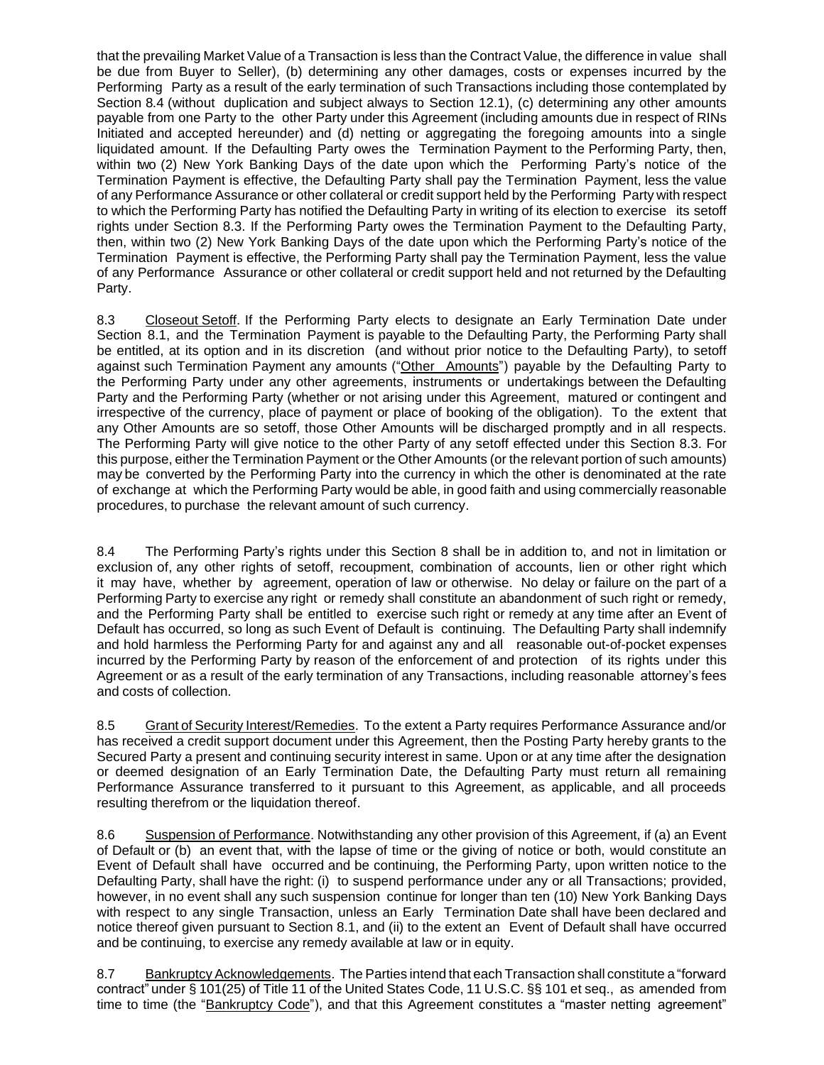that the prevailing Market Value of a Transaction is less than the Contract Value, the difference in value shall be due from Buyer to Seller), (b) determining any other damages, costs or expenses incurred by the Performing Party as a result of the early termination of such Transactions including those contemplated by Section 8.4 (without duplication and subject always to Section 12.1), (c) determining any other amounts payable from one Party to the other Party under this Agreement (including amounts due in respect of RINs Initiated and accepted hereunder) and (d) netting or aggregating the foregoing amounts into a single liquidated amount. If the Defaulting Party owes the Termination Payment to the Performing Party, then, within two (2) New York Banking Days of the date upon which the Performing Party's notice of the Termination Payment is effective, the Defaulting Party shall pay the Termination Payment, less the value of any Performance Assurance or other collateral or credit support held by the Performing Party with respect to which the Performing Party has notified the Defaulting Party in writing of its election to exercise its setoff rights under Section 8.3. If the Performing Party owes the Termination Payment to the Defaulting Party, then, within two (2) New York Banking Days of the date upon which the Performing Party's notice of the Termination Payment is effective, the Performing Party shall pay the Termination Payment, less the value of any Performance Assurance or other collateral or credit support held and not returned by the Defaulting Party.

8.3 Closeout Setoff. If the Performing Party elects to designate an Early Termination Date under Section 8.1, and the Termination Payment is payable to the Defaulting Party, the Performing Party shall be entitled, at its option and in its discretion (and without prior notice to the Defaulting Party), to setoff against such Termination Payment any amounts ("Other Amounts") payable by the Defaulting Party to the Performing Party under any other agreements, instruments or undertakings between the Defaulting Party and the Performing Party (whether or not arising under this Agreement, matured or contingent and irrespective of the currency, place of payment or place of booking of the obligation). To the extent that any Other Amounts are so setoff, those Other Amounts will be discharged promptly and in all respects. The Performing Party will give notice to the other Party of any setoff effected under this Section 8.3. For this purpose, either the Termination Payment or the Other Amounts (or the relevant portion of such amounts) may be converted by the Performing Party into the currency in which the other is denominated at the rate of exchange at which the Performing Party would be able, in good faith and using commercially reasonable procedures, to purchase the relevant amount of such currency.

8.4 The Performing Party's rights under this Section 8 shall be in addition to, and not in limitation or exclusion of, any other rights of setoff, recoupment, combination of accounts, lien or other right which it may have, whether by agreement, operation of law or otherwise. No delay or failure on the part of a Performing Party to exercise any right or remedy shall constitute an abandonment of such right or remedy, and the Performing Party shall be entitled to exercise such right or remedy at any time after an Event of Default has occurred, so long as such Event of Default is continuing. The Defaulting Party shall indemnify and hold harmless the Performing Party for and against any and all reasonable out-of-pocket expenses incurred by the Performing Party by reason of the enforcement of and protection of its rights under this Agreement or as a result of the early termination of any Transactions, including reasonable attorney's fees and costs of collection.

8.5 Grant of Security Interest/Remedies. To the extent a Party requires Performance Assurance and/or has received a credit support document under this Agreement, then the Posting Party hereby grants to the Secured Party a present and continuing security interest in same. Upon or at any time after the designation or deemed designation of an Early Termination Date, the Defaulting Party must return all remaining Performance Assurance transferred to it pursuant to this Agreement, as applicable, and all proceeds resulting therefrom or the liquidation thereof.

8.6 Suspension of Performance. Notwithstanding any other provision of this Agreement, if (a) an Event of Default or (b) an event that, with the lapse of time or the giving of notice or both, would constitute an Event of Default shall have occurred and be continuing, the Performing Party, upon written notice to the Defaulting Party, shall have the right: (i) to suspend performance under any or all Transactions; provided, however, in no event shall any such suspension continue for longer than ten (10) New York Banking Days with respect to any single Transaction, unless an Early Termination Date shall have been declared and notice thereof given pursuant to Section 8.1, and (ii) to the extent an Event of Default shall have occurred and be continuing, to exercise any remedy available at law or in equity.

8.7 Bankruptcy Acknowledgements. The Parties intend that each Transaction shall constitute a "forward contract" under § 101(25) of Title 11 of the United States Code, 11 U.S.C. §§ 101 et seq., as amended from time to time (the "Bankruptcy Code"), and that this Agreement constitutes a "master netting agreement"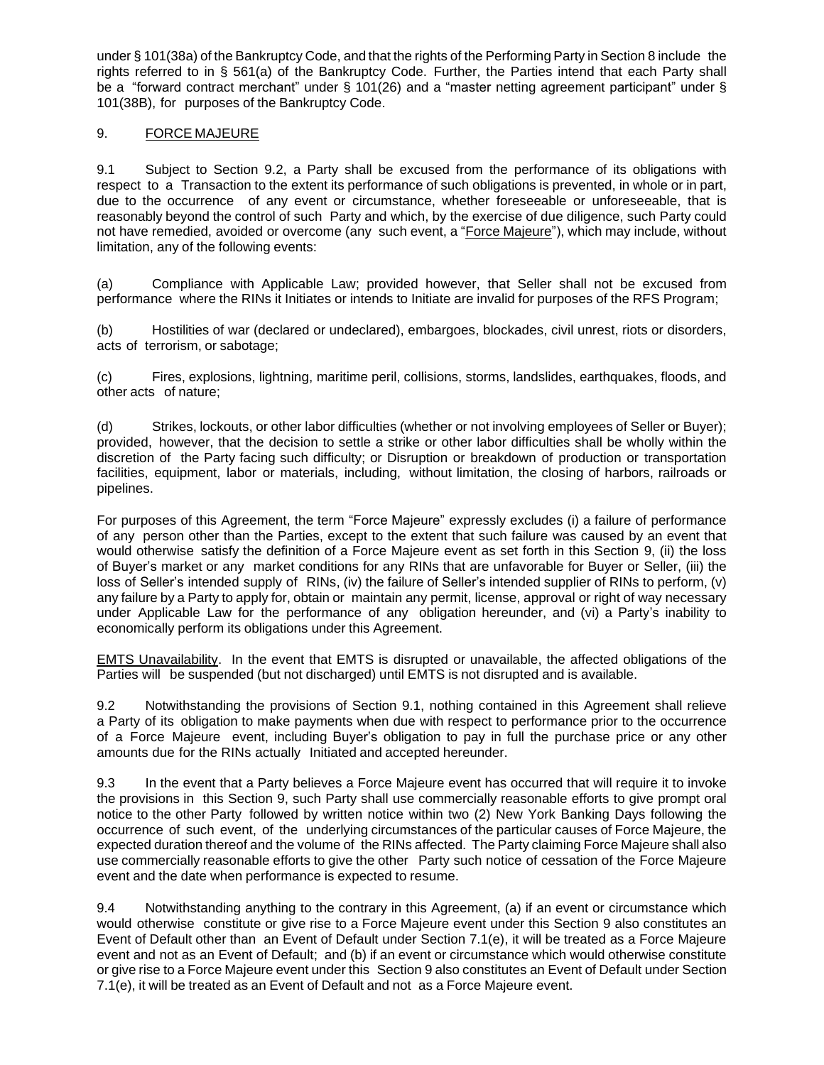under § 101(38a) of the Bankruptcy Code, and that the rights of the Performing Party in Section 8 include the rights referred to in § 561(a) of the Bankruptcy Code. Further, the Parties intend that each Party shall be a "forward contract merchant" under § 101(26) and a "master netting agreement participant" under § 101(38B), for purposes of the Bankruptcy Code.

## 9. FORCE MAJEURE

9.1 Subject to Section 9.2, a Party shall be excused from the performance of its obligations with respect to a Transaction to the extent its performance of such obligations is prevented, in whole or in part, due to the occurrence of any event or circumstance, whether foreseeable or unforeseeable, that is reasonably beyond the control of such Party and which, by the exercise of due diligence, such Party could not have remedied, avoided or overcome (any such event, a "Force Majeure"), which may include, without limitation, any of the following events:

(a) Compliance with Applicable Law; provided however, that Seller shall not be excused from performance where the RINs it Initiates or intends to Initiate are invalid for purposes of the RFS Program;

(b) Hostilities of war (declared or undeclared), embargoes, blockades, civil unrest, riots or disorders, acts of terrorism, or sabotage;

(c) Fires, explosions, lightning, maritime peril, collisions, storms, landslides, earthquakes, floods, and other acts of nature;

(d) Strikes, lockouts, or other labor difficulties (whether or not involving employees of Seller or Buyer); provided, however, that the decision to settle a strike or other labor difficulties shall be wholly within the discretion of the Party facing such difficulty; or Disruption or breakdown of production or transportation facilities, equipment, labor or materials, including, without limitation, the closing of harbors, railroads or pipelines.

For purposes of this Agreement, the term "Force Majeure" expressly excludes (i) a failure of performance of any person other than the Parties, except to the extent that such failure was caused by an event that would otherwise satisfy the definition of a Force Majeure event as set forth in this Section 9, (ii) the loss of Buyer's market or any market conditions for any RINs that are unfavorable for Buyer or Seller, (iii) the loss of Seller's intended supply of RINs, (iv) the failure of Seller's intended supplier of RINs to perform, (v) any failure by a Party to apply for, obtain or maintain any permit, license, approval or right of way necessary under Applicable Law for the performance of any obligation hereunder, and (vi) a Party's inability to economically perform its obligations under this Agreement.

EMTS Unavailability. In the event that EMTS is disrupted or unavailable, the affected obligations of the Parties will be suspended (but not discharged) until EMTS is not disrupted and is available.

9.2 Notwithstanding the provisions of Section 9.1, nothing contained in this Agreement shall relieve a Party of its obligation to make payments when due with respect to performance prior to the occurrence of a Force Majeure event, including Buyer's obligation to pay in full the purchase price or any other amounts due for the RINs actually Initiated and accepted hereunder.

9.3 In the event that a Party believes a Force Majeure event has occurred that will require it to invoke the provisions in this Section 9, such Party shall use commercially reasonable efforts to give prompt oral notice to the other Party followed by written notice within two (2) New York Banking Days following the occurrence of such event, of the underlying circumstances of the particular causes of Force Majeure, the expected duration thereof and the volume of the RINs affected. The Party claiming Force Majeure shall also use commercially reasonable efforts to give the other Party such notice of cessation of the Force Majeure event and the date when performance is expected to resume.

9.4 Notwithstanding anything to the contrary in this Agreement, (a) if an event or circumstance which would otherwise constitute or give rise to a Force Majeure event under this Section 9 also constitutes an Event of Default other than an Event of Default under Section 7.1(e), it will be treated as a Force Majeure event and not as an Event of Default; and (b) if an event or circumstance which would otherwise constitute or give rise to a Force Majeure event under this Section 9 also constitutes an Event of Default under Section 7.1(e), it will be treated as an Event of Default and not as a Force Majeure event.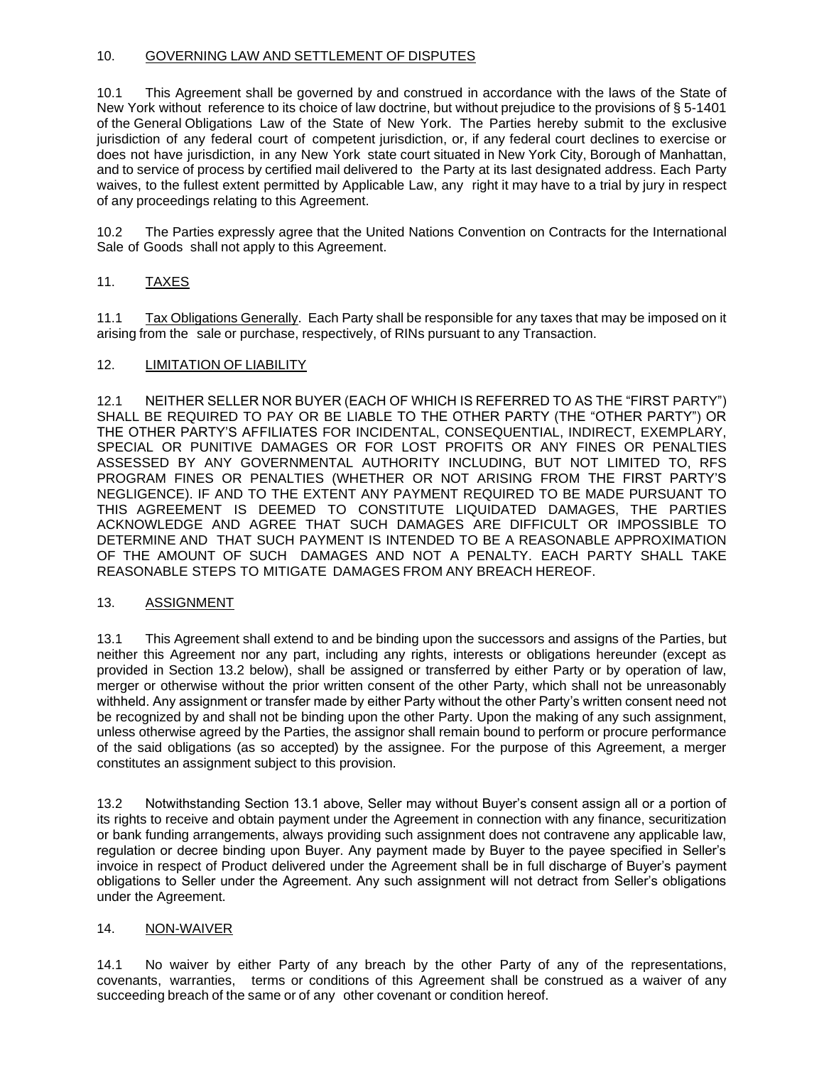## 10. GOVERNING LAW AND SETTLEMENT OF DISPUTES

10.1 This Agreement shall be governed by and construed in accordance with the laws of the State of New York without reference to its choice of law doctrine, but without prejudice to the provisions of § 5-1401 of the General Obligations Law of the State of New York. The Parties hereby submit to the exclusive jurisdiction of any federal court of competent jurisdiction, or, if any federal court declines to exercise or does not have jurisdiction, in any New York state court situated in New York City, Borough of Manhattan, and to service of process by certified mail delivered to the Party at its last designated address. Each Party waives, to the fullest extent permitted by Applicable Law, any right it may have to a trial by jury in respect of any proceedings relating to this Agreement.

10.2 The Parties expressly agree that the United Nations Convention on Contracts for the International Sale of Goods shall not apply to this Agreement.

# 11. TAXES

11.1 Tax Obligations Generally. Each Party shall be responsible for any taxes that may be imposed on it arising from the sale or purchase, respectively, of RINs pursuant to any Transaction.

## 12. LIMITATION OF LIABILITY

12.1 NEITHER SELLER NOR BUYER (EACH OF WHICH IS REFERRED TO AS THE "FIRST PARTY") SHALL BE REQUIRED TO PAY OR BE LIABLE TO THE OTHER PARTY (THE "OTHER PARTY") OR THE OTHER PARTY'S AFFILIATES FOR INCIDENTAL, CONSEQUENTIAL, INDIRECT, EXEMPLARY, SPECIAL OR PUNITIVE DAMAGES OR FOR LOST PROFITS OR ANY FINES OR PENALTIES ASSESSED BY ANY GOVERNMENTAL AUTHORITY INCLUDING, BUT NOT LIMITED TO, RFS PROGRAM FINES OR PENALTIES (WHETHER OR NOT ARISING FROM THE FIRST PARTY'S NEGLIGENCE). IF AND TO THE EXTENT ANY PAYMENT REQUIRED TO BE MADE PURSUANT TO THIS AGREEMENT IS DEEMED TO CONSTITUTE LIQUIDATED DAMAGES, THE PARTIES ACKNOWLEDGE AND AGREE THAT SUCH DAMAGES ARE DIFFICULT OR IMPOSSIBLE TO DETERMINE AND THAT SUCH PAYMENT IS INTENDED TO BE A REASONABLE APPROXIMATION OF THE AMOUNT OF SUCH DAMAGES AND NOT A PENALTY. EACH PARTY SHALL TAKE REASONABLE STEPS TO MITIGATE DAMAGES FROM ANY BREACH HEREOF.

## 13. ASSIGNMENT

13.1 This Agreement shall extend to and be binding upon the successors and assigns of the Parties, but neither this Agreement nor any part, including any rights, interests or obligations hereunder (except as provided in Section 13.2 below), shall be assigned or transferred by either Party or by operation of law, merger or otherwise without the prior written consent of the other Party, which shall not be unreasonably withheld. Any assignment or transfer made by either Party without the other Party's written consent need not be recognized by and shall not be binding upon the other Party. Upon the making of any such assignment, unless otherwise agreed by the Parties, the assignor shall remain bound to perform or procure performance of the said obligations (as so accepted) by the assignee. For the purpose of this Agreement, a merger constitutes an assignment subject to this provision.

13.2 Notwithstanding Section 13.1 above, Seller may without Buyer's consent assign all or a portion of its rights to receive and obtain payment under the Agreement in connection with any finance, securitization or bank funding arrangements, always providing such assignment does not contravene any applicable law, regulation or decree binding upon Buyer. Any payment made by Buyer to the payee specified in Seller's invoice in respect of Product delivered under the Agreement shall be in full discharge of Buyer's payment obligations to Seller under the Agreement. Any such assignment will not detract from Seller's obligations under the Agreement.

#### 14. NON-WAIVER

14.1 No waiver by either Party of any breach by the other Party of any of the representations, covenants, warranties, terms or conditions of this Agreement shall be construed as a waiver of any succeeding breach of the same or of any other covenant or condition hereof.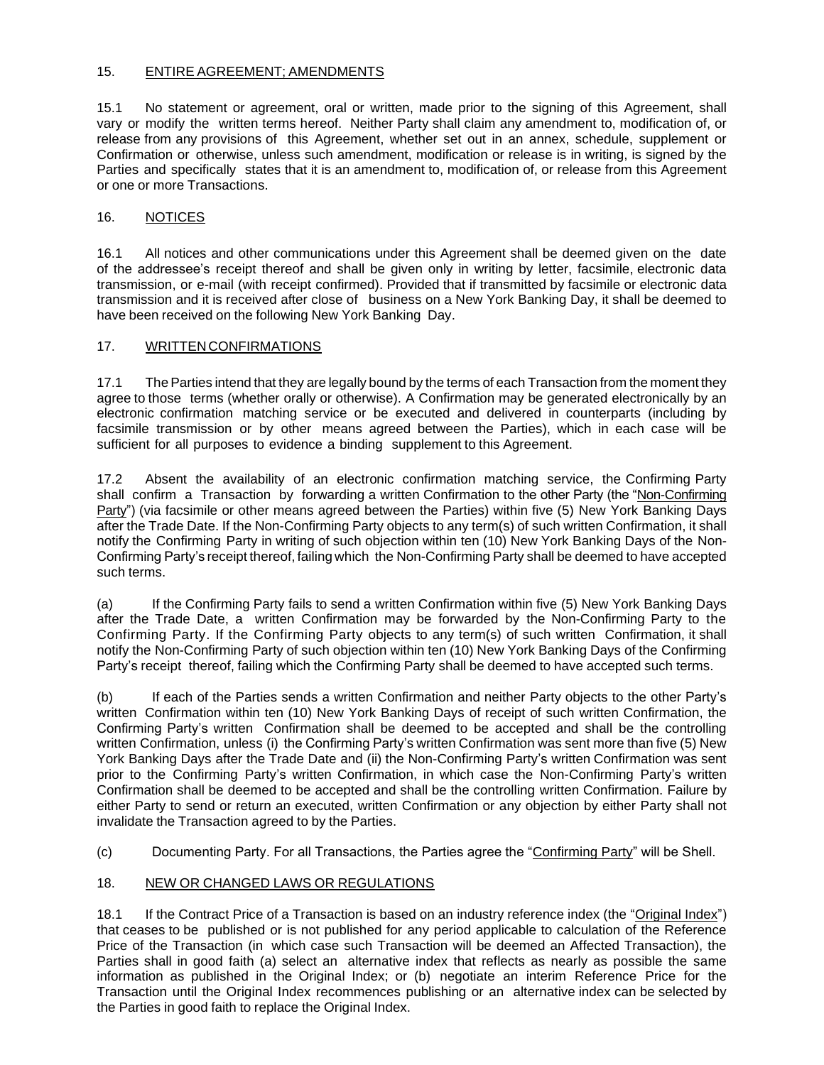### 15. ENTIRE AGREEMENT; AMENDMENTS

15.1 No statement or agreement, oral or written, made prior to the signing of this Agreement, shall vary or modify the written terms hereof. Neither Party shall claim any amendment to, modification of, or release from any provisions of this Agreement, whether set out in an annex, schedule, supplement or Confirmation or otherwise, unless such amendment, modification or release is in writing, is signed by the Parties and specifically states that it is an amendment to, modification of, or release from this Agreement or one or more Transactions.

### 16. NOTICES

16.1 All notices and other communications under this Agreement shall be deemed given on the date of the addressee's receipt thereof and shall be given only in writing by letter, facsimile, electronic data transmission, or e-mail (with receipt confirmed). Provided that if transmitted by facsimile or electronic data transmission and it is received after close of business on a New York Banking Day, it shall be deemed to have been received on the following New York Banking Day.

#### 17. WRITTEN CONFIRMATIONS

17.1 The Parties intend that they are legally bound by the terms of each Transaction from the moment they agree to those terms (whether orally or otherwise). A Confirmation may be generated electronically by an electronic confirmation matching service or be executed and delivered in counterparts (including by facsimile transmission or by other means agreed between the Parties), which in each case will be sufficient for all purposes to evidence a binding supplement to this Agreement.

17.2 Absent the availability of an electronic confirmation matching service, the Confirming Party shall confirm a Transaction by forwarding a written Confirmation to the other Party (the "Non-Confirming Party") (via facsimile or other means agreed between the Parties) within five (5) New York Banking Days after the Trade Date. If the Non-Confirming Party objects to any term(s) of such written Confirmation, it shall notify the Confirming Party in writing of such objection within ten (10) New York Banking Days of the Non-Confirming Party's receipt thereof, failing which the Non-Confirming Party shall be deemed to have accepted such terms.

(a) If the Confirming Party fails to send a written Confirmation within five (5) New York Banking Days after the Trade Date, a written Confirmation may be forwarded by the Non-Confirming Party to the Confirming Party. If the Confirming Party objects to any term(s) of such written Confirmation, it shall notify the Non-Confirming Party of such objection within ten (10) New York Banking Days of the Confirming Party's receipt thereof, failing which the Confirming Party shall be deemed to have accepted such terms.

(b) If each of the Parties sends a written Confirmation and neither Party objects to the other Party's written Confirmation within ten (10) New York Banking Days of receipt of such written Confirmation, the Confirming Party's written Confirmation shall be deemed to be accepted and shall be the controlling written Confirmation, unless (i) the Confirming Party's written Confirmation was sent more than five (5) New York Banking Days after the Trade Date and (ii) the Non-Confirming Party's written Confirmation was sent prior to the Confirming Party's written Confirmation, in which case the Non-Confirming Party's written Confirmation shall be deemed to be accepted and shall be the controlling written Confirmation. Failure by either Party to send or return an executed, written Confirmation or any objection by either Party shall not invalidate the Transaction agreed to by the Parties.

(c) Documenting Party. For all Transactions, the Parties agree the "Confirming Party" will be Shell.

## 18. NEW OR CHANGED LAWS OR REGULATIONS

18.1 If the Contract Price of a Transaction is based on an industry reference index (the "Original Index") that ceases to be published or is not published for any period applicable to calculation of the Reference Price of the Transaction (in which case such Transaction will be deemed an Affected Transaction), the Parties shall in good faith (a) select an alternative index that reflects as nearly as possible the same information as published in the Original Index; or (b) negotiate an interim Reference Price for the Transaction until the Original Index recommences publishing or an alternative index can be selected by the Parties in good faith to replace the Original Index.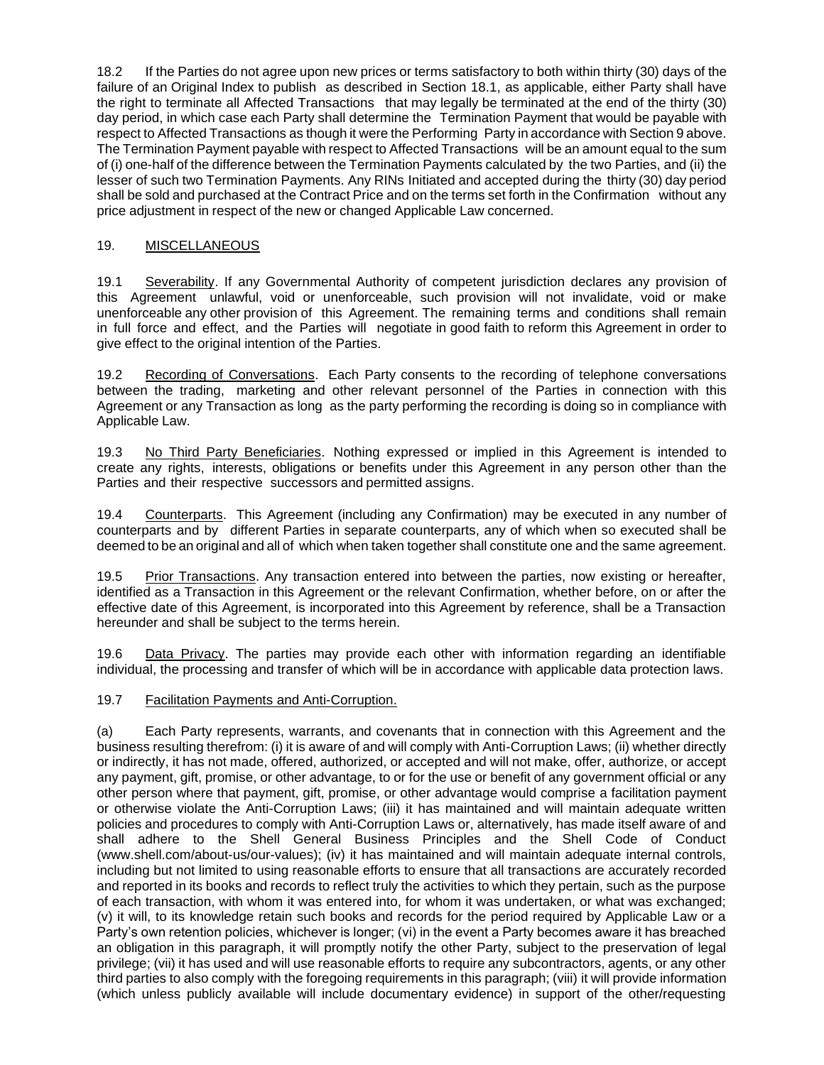18.2 If the Parties do not agree upon new prices or terms satisfactory to both within thirty (30) days of the failure of an Original Index to publish as described in Section 18.1, as applicable, either Party shall have the right to terminate all Affected Transactions that may legally be terminated at the end of the thirty (30) day period, in which case each Party shall determine the Termination Payment that would be payable with respect to Affected Transactions as though it were the Performing Party in accordance with Section 9 above. The Termination Payment payable with respect to Affected Transactions will be an amount equal to the sum of (i) one-half of the difference between the Termination Payments calculated by the two Parties, and (ii) the lesser of such two Termination Payments. Any RINs Initiated and accepted during the thirty (30) day period shall be sold and purchased at the Contract Price and on the terms set forth in the Confirmation without any price adjustment in respect of the new or changed Applicable Law concerned.

### 19. MISCELLANEOUS

19.1 Severability. If any Governmental Authority of competent jurisdiction declares any provision of this Agreement unlawful, void or unenforceable, such provision will not invalidate, void or make unenforceable any other provision of this Agreement. The remaining terms and conditions shall remain in full force and effect, and the Parties will negotiate in good faith to reform this Agreement in order to give effect to the original intention of the Parties.

19.2 Recording of Conversations. Each Party consents to the recording of telephone conversations between the trading, marketing and other relevant personnel of the Parties in connection with this Agreement or any Transaction as long as the party performing the recording is doing so in compliance with Applicable Law.

19.3 No Third Party Beneficiaries. Nothing expressed or implied in this Agreement is intended to create any rights, interests, obligations or benefits under this Agreement in any person other than the Parties and their respective successors and permitted assigns.

19.4 Counterparts. This Agreement (including any Confirmation) may be executed in any number of counterparts and by different Parties in separate counterparts, any of which when so executed shall be deemed to be an original and all of which when taken together shall constitute one and the same agreement.

19.5 Prior Transactions. Any transaction entered into between the parties, now existing or hereafter, identified as a Transaction in this Agreement or the relevant Confirmation, whether before, on or after the effective date of this Agreement, is incorporated into this Agreement by reference, shall be a Transaction hereunder and shall be subject to the terms herein.

19.6 Data Privacy. The parties may provide each other with information regarding an identifiable individual, the processing and transfer of which will be in accordance with applicable data protection laws.

### 19.7 Facilitation Payments and Anti-Corruption.

(a) Each Party represents, warrants, and covenants that in connection with this Agreement and the business resulting therefrom: (i) it is aware of and will comply with Anti-Corruption Laws; (ii) whether directly or indirectly, it has not made, offered, authorized, or accepted and will not make, offer, authorize, or accept any payment, gift, promise, or other advantage, to or for the use or benefit of any government official or any other person where that payment, gift, promise, or other advantage would comprise a facilitation payment or otherwise violate the Anti-Corruption Laws; (iii) it has maintained and will maintain adequate written policies and procedures to comply with Anti-Corruption Laws or, alternatively, has made itself aware of and shall adhere to the Shell General Business Principles and the Shell Code of Conduct (www.shell.com/about-us/our-values); (iv) it has maintained and will maintain adequate internal controls, including but not limited to using reasonable efforts to ensure that all transactions are accurately recorded and reported in its books and records to reflect truly the activities to which they pertain, such as the purpose of each transaction, with whom it was entered into, for whom it was undertaken, or what was exchanged; (v) it will, to its knowledge retain such books and records for the period required by Applicable Law or a Party's own retention policies, whichever is longer; (vi) in the event a Party becomes aware it has breached an obligation in this paragraph, it will promptly notify the other Party, subject to the preservation of legal privilege; (vii) it has used and will use reasonable efforts to require any subcontractors, agents, or any other third parties to also comply with the foregoing requirements in this paragraph; (viii) it will provide information (which unless publicly available will include documentary evidence) in support of the other/requesting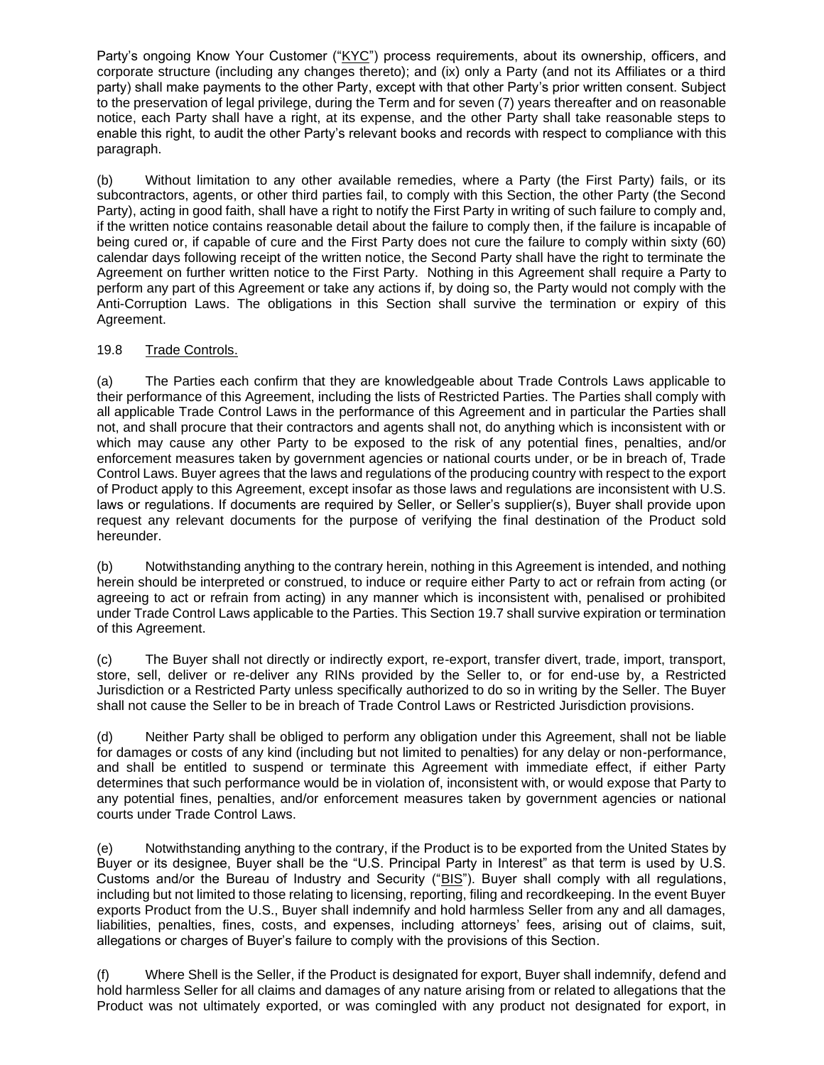Party's ongoing Know Your Customer ("KYC") process requirements, about its ownership, officers, and corporate structure (including any changes thereto); and (ix) only a Party (and not its Affiliates or a third party) shall make payments to the other Party, except with that other Party's prior written consent. Subject to the preservation of legal privilege, during the Term and for seven (7) years thereafter and on reasonable notice, each Party shall have a right, at its expense, and the other Party shall take reasonable steps to enable this right, to audit the other Party's relevant books and records with respect to compliance with this paragraph.

(b) Without limitation to any other available remedies, where a Party (the First Party) fails, or its subcontractors, agents, or other third parties fail, to comply with this Section, the other Party (the Second Party), acting in good faith, shall have a right to notify the First Party in writing of such failure to comply and, if the written notice contains reasonable detail about the failure to comply then, if the failure is incapable of being cured or, if capable of cure and the First Party does not cure the failure to comply within sixty (60) calendar days following receipt of the written notice, the Second Party shall have the right to terminate the Agreement on further written notice to the First Party. Nothing in this Agreement shall require a Party to perform any part of this Agreement or take any actions if, by doing so, the Party would not comply with the Anti-Corruption Laws. The obligations in this Section shall survive the termination or expiry of this Agreement.

## 19.8 Trade Controls.

(a) The Parties each confirm that they are knowledgeable about Trade Controls Laws applicable to their performance of this Agreement, including the lists of Restricted Parties. The Parties shall comply with all applicable Trade Control Laws in the performance of this Agreement and in particular the Parties shall not, and shall procure that their contractors and agents shall not, do anything which is inconsistent with or which may cause any other Party to be exposed to the risk of any potential fines, penalties, and/or enforcement measures taken by government agencies or national courts under, or be in breach of, Trade Control Laws. Buyer agrees that the laws and regulations of the producing country with respect to the export of Product apply to this Agreement, except insofar as those laws and regulations are inconsistent with U.S. laws or regulations. If documents are required by Seller, or Seller's supplier(s), Buyer shall provide upon request any relevant documents for the purpose of verifying the final destination of the Product sold hereunder.

(b) Notwithstanding anything to the contrary herein, nothing in this Agreement is intended, and nothing herein should be interpreted or construed, to induce or require either Party to act or refrain from acting (or agreeing to act or refrain from acting) in any manner which is inconsistent with, penalised or prohibited under Trade Control Laws applicable to the Parties. This Section 19.7 shall survive expiration or termination of this Agreement.

(c) The Buyer shall not directly or indirectly export, re-export, transfer divert, trade, import, transport, store, sell, deliver or re-deliver any RINs provided by the Seller to, or for end-use by, a Restricted Jurisdiction or a Restricted Party unless specifically authorized to do so in writing by the Seller. The Buyer shall not cause the Seller to be in breach of Trade Control Laws or Restricted Jurisdiction provisions.

(d) Neither Party shall be obliged to perform any obligation under this Agreement, shall not be liable for damages or costs of any kind (including but not limited to penalties) for any delay or non-performance, and shall be entitled to suspend or terminate this Agreement with immediate effect, if either Party determines that such performance would be in violation of, inconsistent with, or would expose that Party to any potential fines, penalties, and/or enforcement measures taken by government agencies or national courts under Trade Control Laws.

(e) Notwithstanding anything to the contrary, if the Product is to be exported from the United States by Buyer or its designee, Buyer shall be the "U.S. Principal Party in Interest" as that term is used by U.S. Customs and/or the Bureau of Industry and Security ("BIS"). Buyer shall comply with all regulations, including but not limited to those relating to licensing, reporting, filing and recordkeeping. In the event Buyer exports Product from the U.S., Buyer shall indemnify and hold harmless Seller from any and all damages, liabilities, penalties, fines, costs, and expenses, including attorneys' fees, arising out of claims, suit, allegations or charges of Buyer's failure to comply with the provisions of this Section.

(f) Where Shell is the Seller, if the Product is designated for export, Buyer shall indemnify, defend and hold harmless Seller for all claims and damages of any nature arising from or related to allegations that the Product was not ultimately exported, or was comingled with any product not designated for export, in